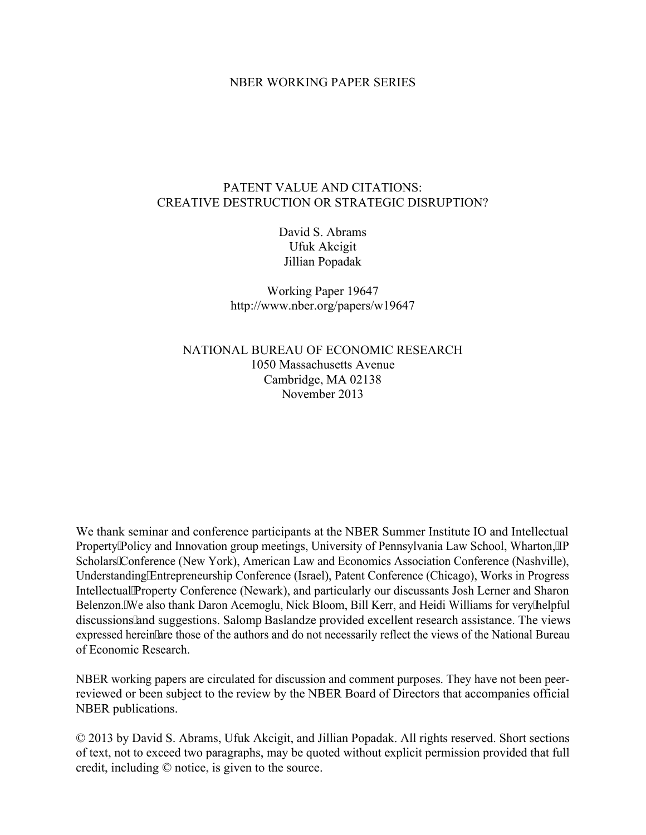### NBER WORKING PAPER SERIES

### PATENT VALUE AND CITATIONS: CREATIVE DESTRUCTION OR STRATEGIC DISRUPTION?

David S. Abrams Ufuk Akcigit Jillian Popadak

Working Paper 19647 http://www.nber.org/papers/w19647

NATIONAL BUREAU OF ECONOMIC RESEARCH 1050 Massachusetts Avenue Cambridge, MA 02138 November 2013

We thank seminar and conference participants at the NBER Summer Institute IO and Intellectual Property'Policy and Innovation group meetings, University of Pennsylvania Law School, Wharton,'IP Scholars' Conference (New York), American Law and Economics Association Conference (Nashville), Understanding Entrepreneurship Conference (Israel), Patent Conference (Chicago), Works in Progress Intellectual Property Conference (Newark), and particularly our discussants Josh Lerner and Sharon Belenzon. "We also thank Daron Acemoglu, Nick Bloom, Bill Kerr, and Heidi Williams for very helpful discussions" and suggestions. Salom<sup>2</sup> Baslandze provided excellent research assistance. The views expressed herein are those of the authors and do not necessarily reflect the views of the National Bureau of Economic Research.

NBER working papers are circulated for discussion and comment purposes. They have not been peerreviewed or been subject to the review by the NBER Board of Directors that accompanies official NBER publications.

© 2013 by David S. Abrams, Ufuk Akcigit, and Jillian Popadak. All rights reserved. Short sections of text, not to exceed two paragraphs, may be quoted without explicit permission provided that full credit, including © notice, is given to the source.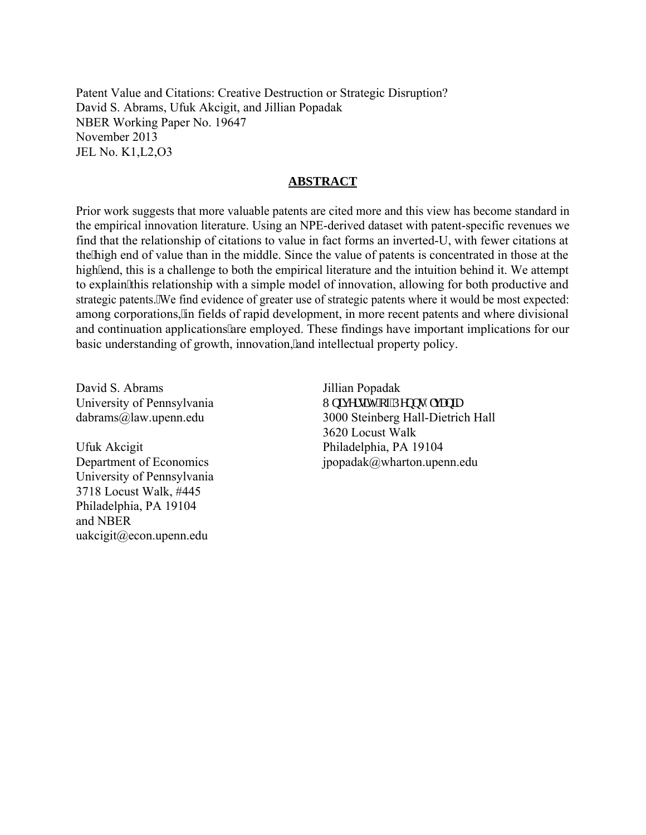Patent Value and Citations: Creative Destruction or Strategic Disruption? David S. Abrams, Ufuk Akcigit, and Jillian Popadak NBER Working Paper No. 19647 November 2013 JEL No. K1,L2,O3

## **ABSTRACT**

Prior work suggests that more valuable patents are cited more and this view has become standard in the empirical innovation literature. Using an NPE-derived dataset with patent-specific revenues we find that the relationship of citations to value in fact forms an inverted-U, with fewer citations at the high end of value than in the middle. Since the value of patents is concentrated in those at the high "end, this is a challenge to both the empirical literature and the intuition behind it. We attempt to explain this relationship with a simple model of innovation, allowing for both productive and strategic patents. We find evidence of greater use of strategic patents where it would be most expected: among corporations, 'in fields of rapid development, in more recent patents and where divisional and continuation applications are employed. These findings have important implications for our basic understanding of growth, innovation,"and intellectual property policy.

David S. Abrams University of Pennsylvania dabrams@law.upenn.edu

Ufuk Akcigit Department of Economics University of Pennsylvania 3718 Locust Walk, #445 Philadelphia, PA 19104 and NBER uakcigit@econ.upenn.edu

Jillian Popadak  $W$ bks gtukv $\{$  "qh"Rgppu $\{$  nxcpkc 3000 Steinberg Hall-Dietrich Hall 3620 Locust Walk Philadelphia, PA 19104 jpopadak@wharton.upenn.edu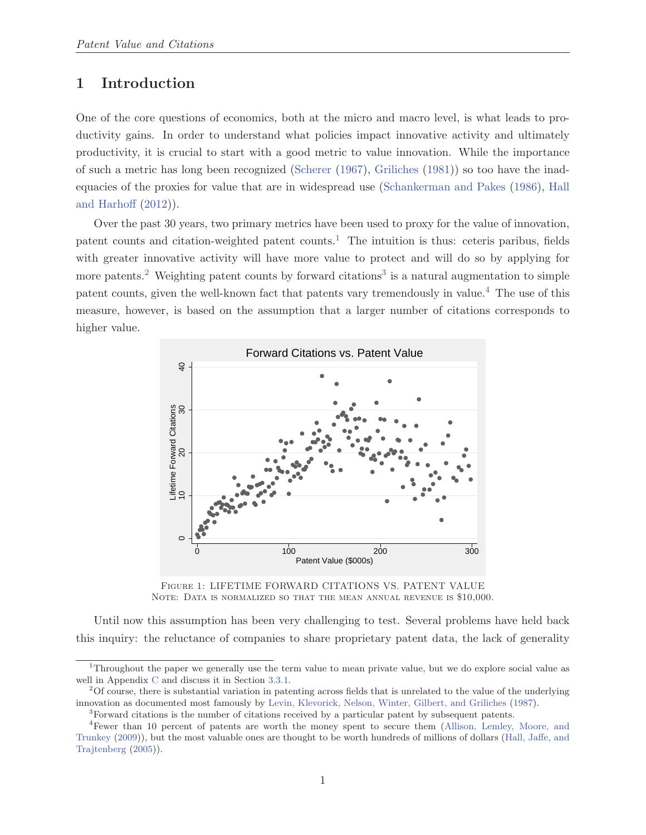## **1 Introduction**

One of the core questions of economics, both at the micro and macro level, is what leads to productivity gains. In order to understand what policies impact innovative activity and ultimately productivity, it is crucial to start with a good metric to value innovation. While the importance of such a metric has long been recognized (Scherer (1967), Griliches (1981)) so too have the inadequacies of the proxies for value that are in widespread use (Schankerman and Pakes (1986), Hall and Harhoff (2012)).

Over the past 30 years, two primary metrics have been used to proxy for the value of innovation, patent counts and citation-weighted patent counts.<sup>1</sup> The intuition is thus: ceteris paribus, fields with greater innovative activity will have more value to protect and will do so by applying for more patents.<sup>2</sup> Weighting patent counts by forward citations<sup>3</sup> is a natural augmentation to simple patent counts, given the well-known fact that patents vary tremendously in value.<sup>4</sup> The use of this measure, however, is based on the assumption that a larger number of citations corresponds to higher value.



Figure 1: LIFETIME FORWARD CITATIONS VS. PATENT VALUE Note: Data is normalized so that the mean annual revenue is \$10,000.

Until now this assumption has been very challenging to test. Several problems have held back this inquiry: the reluctance of companies to share proprietary patent data, the lack of generality

<sup>&</sup>lt;sup>1</sup>Throughout the paper we generally use the term value to mean private value, but we do explore social value as well in Appendix C and discuss it in Section 3.3.1.

<sup>2</sup>Of course, there is substantial variation in patenting across fields that is unrelated to the value of the underlying innovation as documented most famously by Levin, Klevorick, Nelson, Winter, Gilbert, and Griliches (1987).

<sup>3</sup>Forward citations is the number of citations received by a particular patent by subsequent patents.

<sup>4</sup>Fewer than 10 percent of patents are worth the money spent to secure them (Allison, Lemley, Moore, and Trunkey (2009)), but the most valuable ones are thought to be worth hundreds of millions of dollars (Hall, Jaffe, and Trajtenberg (2005)).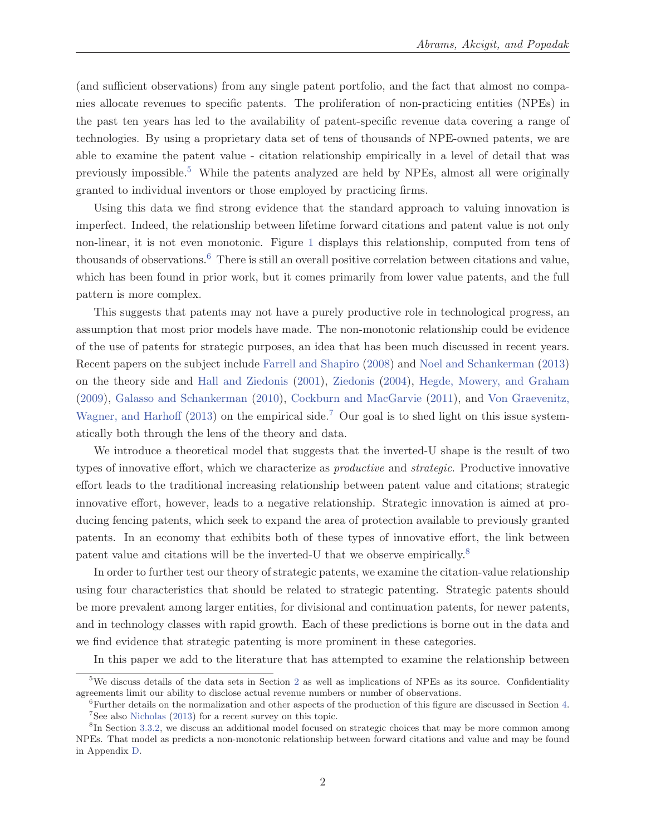(and sufficient observations) from any single patent portfolio, and the fact that almost no companies allocate revenues to specific patents. The proliferation of non-practicing entities (NPEs) in the past ten years has led to the availability of patent-specific revenue data covering a range of technologies. By using a proprietary data set of tens of thousands of NPE-owned patents, we are able to examine the patent value - citation relationship empirically in a level of detail that was previously impossible.<sup>5</sup> While the patents analyzed are held by NPEs, almost all were originally granted to individual inventors or those employed by practicing firms.

Using this data we find strong evidence that the standard approach to valuing innovation is imperfect. Indeed, the relationship between lifetime forward citations and patent value is not only non-linear, it is not even monotonic. Figure 1 displays this relationship, computed from tens of thousands of observations. $6$  There is still an overall positive correlation between citations and value, which has been found in prior work, but it comes primarily from lower value patents, and the full pattern is more complex.

This suggests that patents may not have a purely productive role in technological progress, an assumption that most prior models have made. The non-monotonic relationship could be evidence of the use of patents for strategic purposes, an idea that has been much discussed in recent years. Recent papers on the subject include Farrell and Shapiro (2008) and Noel and Schankerman (2013) on the theory side and Hall and Ziedonis (2001), Ziedonis (2004), Hegde, Mowery, and Graham (2009), Galasso and Schankerman (2010), Cockburn and MacGarvie (2011), and Von Graevenitz, Wagner, and Harhoff (2013) on the empirical side.<sup>7</sup> Our goal is to shed light on this issue systematically both through the lens of the theory and data.

We introduce a theoretical model that suggests that the inverted-U shape is the result of two types of innovative effort, which we characterize as *productive* and *strategic*. Productive innovative effort leads to the traditional increasing relationship between patent value and citations; strategic innovative effort, however, leads to a negative relationship. Strategic innovation is aimed at producing fencing patents, which seek to expand the area of protection available to previously granted patents. In an economy that exhibits both of these types of innovative effort, the link between patent value and citations will be the inverted-U that we observe empirically.<sup>8</sup>

In order to further test our theory of strategic patents, we examine the citation-value relationship using four characteristics that should be related to strategic patenting. Strategic patents should be more prevalent among larger entities, for divisional and continuation patents, for newer patents, and in technology classes with rapid growth. Each of these predictions is borne out in the data and we find evidence that strategic patenting is more prominent in these categories.

In this paper we add to the literature that has attempted to examine the relationship between

 $5$ We discuss details of the data sets in Section 2 as well as implications of NPEs as its source. Confidentiality agreements limit our ability to disclose actual revenue numbers or number of observations.

<sup>6</sup>Further details on the normalization and other aspects of the production of this figure are discussed in Section 4. <sup>7</sup>See also Nicholas (2013) for a recent survey on this topic.

<sup>&</sup>lt;sup>8</sup>In Section 3.3.2, we discuss an additional model focused on strategic choices that may be more common among NPEs. That model as predicts a non-monotonic relationship between forward citations and value and may be found in Appendix D.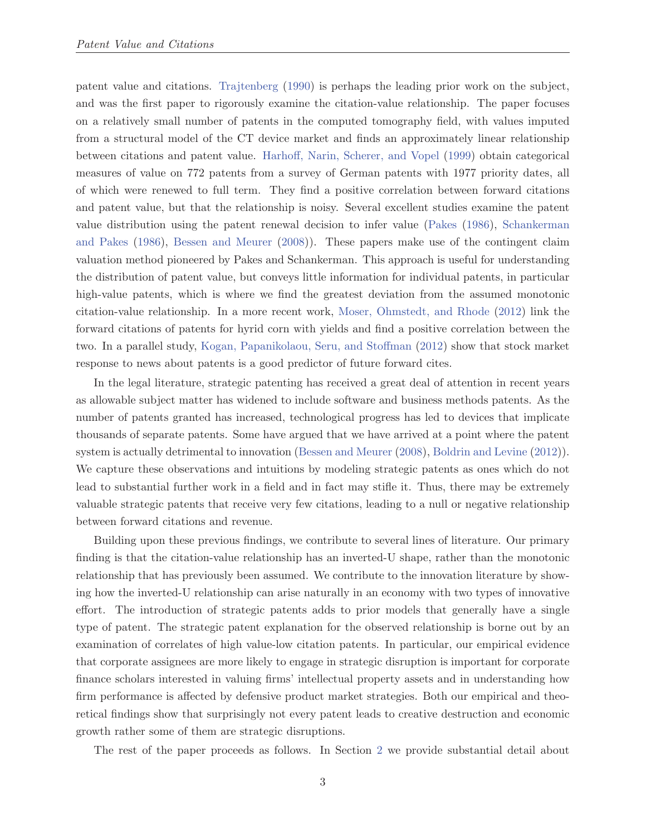patent value and citations. Trajtenberg (1990) is perhaps the leading prior work on the subject, and was the first paper to rigorously examine the citation-value relationship. The paper focuses on a relatively small number of patents in the computed tomography field, with values imputed from a structural model of the CT device market and finds an approximately linear relationship between citations and patent value. Harhoff, Narin, Scherer, and Vopel (1999) obtain categorical measures of value on 772 patents from a survey of German patents with 1977 priority dates, all of which were renewed to full term. They find a positive correlation between forward citations and patent value, but that the relationship is noisy. Several excellent studies examine the patent value distribution using the patent renewal decision to infer value (Pakes (1986), Schankerman and Pakes (1986), Bessen and Meurer (2008)). These papers make use of the contingent claim valuation method pioneered by Pakes and Schankerman. This approach is useful for understanding the distribution of patent value, but conveys little information for individual patents, in particular high-value patents, which is where we find the greatest deviation from the assumed monotonic citation-value relationship. In a more recent work, Moser, Ohmstedt, and Rhode (2012) link the forward citations of patents for hyrid corn with yields and find a positive correlation between the two. In a parallel study, Kogan, Papanikolaou, Seru, and Stoffman (2012) show that stock market response to news about patents is a good predictor of future forward cites.

In the legal literature, strategic patenting has received a great deal of attention in recent years as allowable subject matter has widened to include software and business methods patents. As the number of patents granted has increased, technological progress has led to devices that implicate thousands of separate patents. Some have argued that we have arrived at a point where the patent system is actually detrimental to innovation (Bessen and Meurer (2008), Boldrin and Levine (2012)). We capture these observations and intuitions by modeling strategic patents as ones which do not lead to substantial further work in a field and in fact may stifle it. Thus, there may be extremely valuable strategic patents that receive very few citations, leading to a null or negative relationship between forward citations and revenue.

Building upon these previous findings, we contribute to several lines of literature. Our primary finding is that the citation-value relationship has an inverted-U shape, rather than the monotonic relationship that has previously been assumed. We contribute to the innovation literature by showing how the inverted-U relationship can arise naturally in an economy with two types of innovative effort. The introduction of strategic patents adds to prior models that generally have a single type of patent. The strategic patent explanation for the observed relationship is borne out by an examination of correlates of high value-low citation patents. In particular, our empirical evidence that corporate assignees are more likely to engage in strategic disruption is important for corporate finance scholars interested in valuing firms' intellectual property assets and in understanding how firm performance is affected by defensive product market strategies. Both our empirical and theoretical findings show that surprisingly not every patent leads to creative destruction and economic growth rather some of them are strategic disruptions.

The rest of the paper proceeds as follows. In Section 2 we provide substantial detail about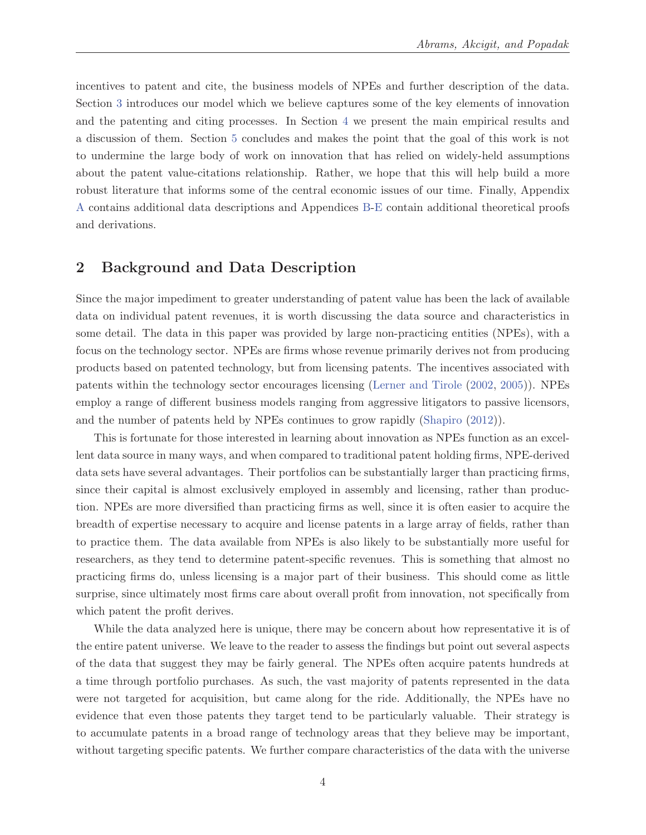incentives to patent and cite, the business models of NPEs and further description of the data. Section 3 introduces our model which we believe captures some of the key elements of innovation and the patenting and citing processes. In Section 4 we present the main empirical results and a discussion of them. Section 5 concludes and makes the point that the goal of this work is not to undermine the large body of work on innovation that has relied on widely-held assumptions about the patent value-citations relationship. Rather, we hope that this will help build a more robust literature that informs some of the central economic issues of our time. Finally, Appendix A contains additional data descriptions and Appendices B-E contain additional theoretical proofs and derivations.

## **2 Background and Data Description**

Since the major impediment to greater understanding of patent value has been the lack of available data on individual patent revenues, it is worth discussing the data source and characteristics in some detail. The data in this paper was provided by large non-practicing entities (NPEs), with a focus on the technology sector. NPEs are firms whose revenue primarily derives not from producing products based on patented technology, but from licensing patents. The incentives associated with patents within the technology sector encourages licensing (Lerner and Tirole (2002, 2005)). NPEs employ a range of different business models ranging from aggressive litigators to passive licensors, and the number of patents held by NPEs continues to grow rapidly (Shapiro (2012)).

This is fortunate for those interested in learning about innovation as NPEs function as an excellent data source in many ways, and when compared to traditional patent holding firms, NPE-derived data sets have several advantages. Their portfolios can be substantially larger than practicing firms, since their capital is almost exclusively employed in assembly and licensing, rather than production. NPEs are more diversified than practicing firms as well, since it is often easier to acquire the breadth of expertise necessary to acquire and license patents in a large array of fields, rather than to practice them. The data available from NPEs is also likely to be substantially more useful for researchers, as they tend to determine patent-specific revenues. This is something that almost no practicing firms do, unless licensing is a major part of their business. This should come as little surprise, since ultimately most firms care about overall profit from innovation, not specifically from which patent the profit derives.

While the data analyzed here is unique, there may be concern about how representative it is of the entire patent universe. We leave to the reader to assess the findings but point out several aspects of the data that suggest they may be fairly general. The NPEs often acquire patents hundreds at a time through portfolio purchases. As such, the vast majority of patents represented in the data were not targeted for acquisition, but came along for the ride. Additionally, the NPEs have no evidence that even those patents they target tend to be particularly valuable. Their strategy is to accumulate patents in a broad range of technology areas that they believe may be important, without targeting specific patents. We further compare characteristics of the data with the universe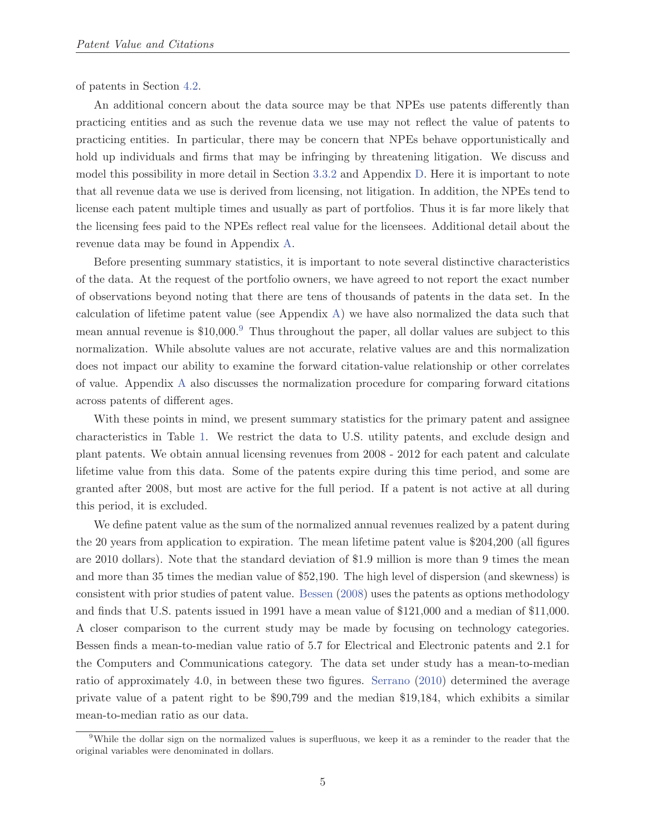of patents in Section 4.2.

An additional concern about the data source may be that NPEs use patents differently than practicing entities and as such the revenue data we use may not reflect the value of patents to practicing entities. In particular, there may be concern that NPEs behave opportunistically and hold up individuals and firms that may be infringing by threatening litigation. We discuss and model this possibility in more detail in Section 3.3.2 and Appendix D. Here it is important to note that all revenue data we use is derived from licensing, not litigation. In addition, the NPEs tend to license each patent multiple times and usually as part of portfolios. Thus it is far more likely that the licensing fees paid to the NPEs reflect real value for the licensees. Additional detail about the revenue data may be found in Appendix A.

Before presenting summary statistics, it is important to note several distinctive characteristics of the data. At the request of the portfolio owners, we have agreed to not report the exact number of observations beyond noting that there are tens of thousands of patents in the data set. In the calculation of lifetime patent value (see Appendix A) we have also normalized the data such that mean annual revenue is  $$10,000$ .<sup>9</sup> Thus throughout the paper, all dollar values are subject to this normalization. While absolute values are not accurate, relative values are and this normalization does not impact our ability to examine the forward citation-value relationship or other correlates of value. Appendix A also discusses the normalization procedure for comparing forward citations across patents of different ages.

With these points in mind, we present summary statistics for the primary patent and assignee characteristics in Table 1. We restrict the data to U.S. utility patents, and exclude design and plant patents. We obtain annual licensing revenues from 2008 - 2012 for each patent and calculate lifetime value from this data. Some of the patents expire during this time period, and some are granted after 2008, but most are active for the full period. If a patent is not active at all during this period, it is excluded.

We define patent value as the sum of the normalized annual revenues realized by a patent during the 20 years from application to expiration. The mean lifetime patent value is \$204,200 (all figures are 2010 dollars). Note that the standard deviation of \$1.9 million is more than 9 times the mean and more than 35 times the median value of \$52,190. The high level of dispersion (and skewness) is consistent with prior studies of patent value. Bessen (2008) uses the patents as options methodology and finds that U.S. patents issued in 1991 have a mean value of \$121,000 and a median of \$11,000. A closer comparison to the current study may be made by focusing on technology categories. Bessen finds a mean-to-median value ratio of 5.7 for Electrical and Electronic patents and 2.1 for the Computers and Communications category. The data set under study has a mean-to-median ratio of approximately 4.0, in between these two figures. Serrano (2010) determined the average private value of a patent right to be \$90,799 and the median \$19,184, which exhibits a similar mean-to-median ratio as our data.

<sup>9</sup>While the dollar sign on the normalized values is superfluous, we keep it as a reminder to the reader that the original variables were denominated in dollars.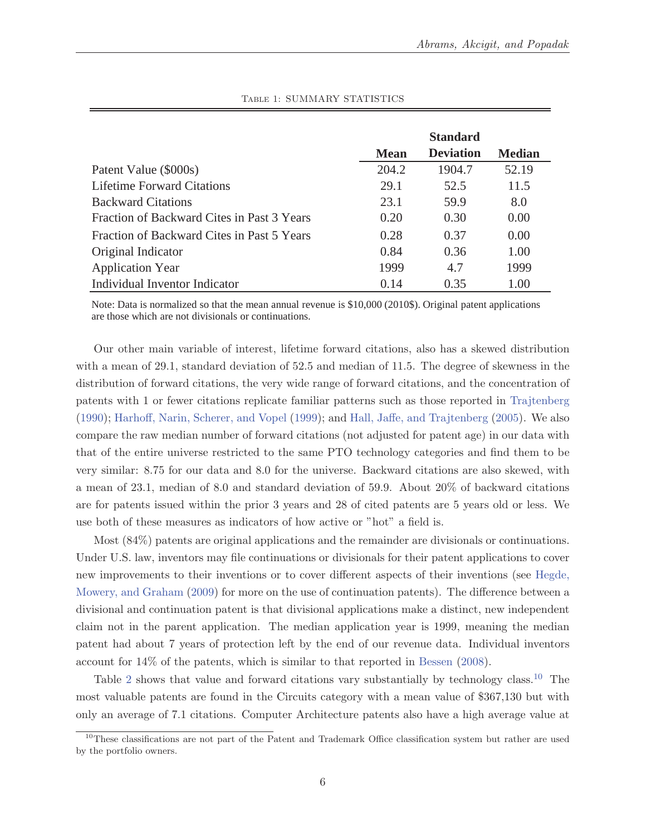|                                            |             | <b>Standard</b>  |               |
|--------------------------------------------|-------------|------------------|---------------|
|                                            | <b>Mean</b> | <b>Deviation</b> | <b>Median</b> |
| Patent Value (\$000s)                      | 204.2       | 1904.7           | 52.19         |
| <b>Lifetime Forward Citations</b>          | 29.1        | 52.5             | 11.5          |
| <b>Backward Citations</b>                  | 23.1        | 59.9             | 8.0           |
| Fraction of Backward Cites in Past 3 Years | 0.20        | 0.30             | 0.00          |
| Fraction of Backward Cites in Past 5 Years | 0.28        | 0.37             | 0.00          |
| Original Indicator                         | 0.84        | 0.36             | 1.00          |
| <b>Application Year</b>                    | 1999        | 4.7              | 1999          |
| Individual Inventor Indicator              | 0.14        | 0.35             | 1.00          |

### Table 1: SUMMARY STATISTICS

Note: Data is normalized so that the mean annual revenue is \$10,000 (2010\$). Original patent applications are those which are not divisionals or continuations.

Our other main variable of interest, lifetime forward citations, also has a skewed distribution with a mean of 29.1, standard deviation of 52.5 and median of 11.5. The degree of skewness in the distribution of forward citations, the very wide range of forward citations, and the concentration of patents with 1 or fewer citations replicate familiar patterns such as those reported in Trajtenberg (1990); Harhoff, Narin, Scherer, and Vopel (1999); and Hall, Jaffe, and Trajtenberg (2005). We also compare the raw median number of forward citations (not adjusted for patent age) in our data with that of the entire universe restricted to the same PTO technology categories and find them to be very similar: 8.75 for our data and 8.0 for the universe. Backward citations are also skewed, with a mean of 23.1, median of 8.0 and standard deviation of 59.9. About 20% of backward citations are for patents issued within the prior 3 years and 28 of cited patents are 5 years old or less. We use both of these measures as indicators of how active or "hot" a field is.

Most (84%) patents are original applications and the remainder are divisionals or continuations. Under U.S. law, inventors may file continuations or divisionals for their patent applications to cover new improvements to their inventions or to cover different aspects of their inventions (see Hegde, Mowery, and Graham (2009) for more on the use of continuation patents). The difference between a divisional and continuation patent is that divisional applications make a distinct, new independent claim not in the parent application. The median application year is 1999, meaning the median patent had about 7 years of protection left by the end of our revenue data. Individual inventors account for 14% of the patents, which is similar to that reported in Bessen (2008).

Table 2 shows that value and forward citations vary substantially by technology class.<sup>10</sup> The most valuable patents are found in the Circuits category with a mean value of \$367,130 but with only an average of 7.1 citations. Computer Architecture patents also have a high average value at

<sup>&</sup>lt;sup>10</sup>These classifications are not part of the Patent and Trademark Office classification system but rather are used by the portfolio owners.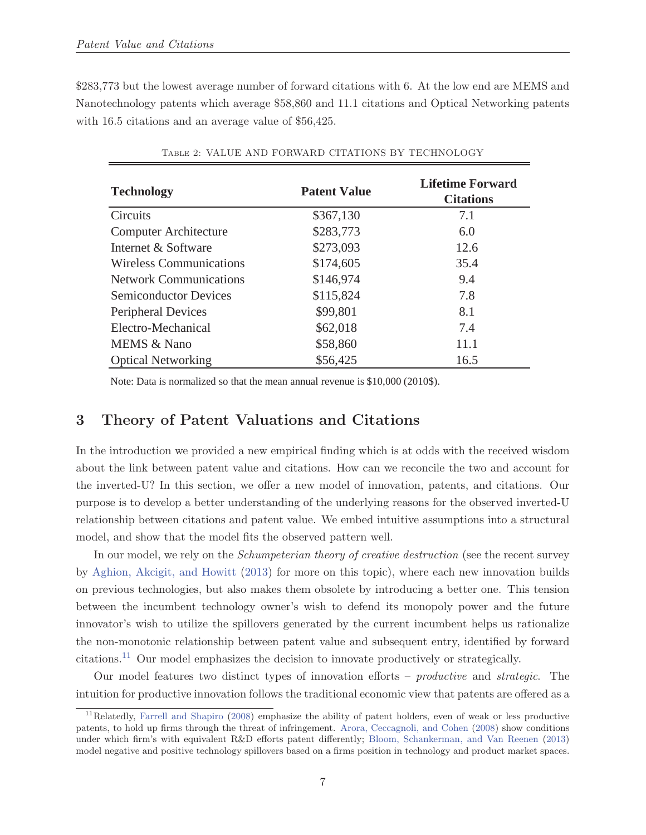\$283,773 but the lowest average number of forward citations with 6. At the low end are MEMS and Nanotechnology patents which average \$58,860 and 11.1 citations and Optical Networking patents with 16.5 citations and an average value of \$56,425.

| <b>Technology</b>              | <b>Patent Value</b> | <b>Lifetime Forward</b><br><b>Citations</b> |
|--------------------------------|---------------------|---------------------------------------------|
| Circuits                       | \$367,130           | 7.1                                         |
| <b>Computer Architecture</b>   | \$283,773           | 6.0                                         |
| Internet & Software            | \$273,093           | 12.6                                        |
| <b>Wireless Communications</b> | \$174,605           | 35.4                                        |
| <b>Network Communications</b>  | \$146,974           | 9.4                                         |
| <b>Semiconductor Devices</b>   | \$115,824           | 7.8                                         |
| Peripheral Devices             | \$99,801            | 8.1                                         |
| Electro-Mechanical             | \$62,018            | 7.4                                         |
| <b>MEMS &amp; Nano</b>         | \$58,860            | 11.1                                        |
| <b>Optical Networking</b>      | \$56,425            | 16.5                                        |

|  |  |  | TABLE 2: VALUE AND FORWARD CITATIONS BY TECHNOLOGY |  |
|--|--|--|----------------------------------------------------|--|
|  |  |  |                                                    |  |

Note: Data is normalized so that the mean annual revenue is \$10,000 (2010\$).

## **3 Theory of Patent Valuations and Citations**

In the introduction we provided a new empirical finding which is at odds with the received wisdom about the link between patent value and citations. How can we reconcile the two and account for the inverted-U? In this section, we offer a new model of innovation, patents, and citations. Our purpose is to develop a better understanding of the underlying reasons for the observed inverted-U relationship between citations and patent value. We embed intuitive assumptions into a structural model, and show that the model fits the observed pattern well.

In our model, we rely on the *Schumpeterian theory of creative destruction* (see the recent survey by Aghion, Akcigit, and Howitt (2013) for more on this topic), where each new innovation builds on previous technologies, but also makes them obsolete by introducing a better one. This tension between the incumbent technology owner's wish to defend its monopoly power and the future innovator's wish to utilize the spillovers generated by the current incumbent helps us rationalize the non-monotonic relationship between patent value and subsequent entry, identified by forward citations.<sup>11</sup> Our model emphasizes the decision to innovate productively or strategically.

Our model features two distinct types of innovation efforts – productive and strategic. The intuition for productive innovation follows the traditional economic view that patents are offered as a

<sup>&</sup>lt;sup>11</sup>Relatedly, Farrell and Shapiro (2008) emphasize the ability of patent holders, even of weak or less productive patents, to hold up firms through the threat of infringement. Arora, Ceccagnoli, and Cohen (2008) show conditions under which firm's with equivalent R&D efforts patent differently; Bloom, Schankerman, and Van Reenen (2013) model negative and positive technology spillovers based on a firms position in technology and product market spaces.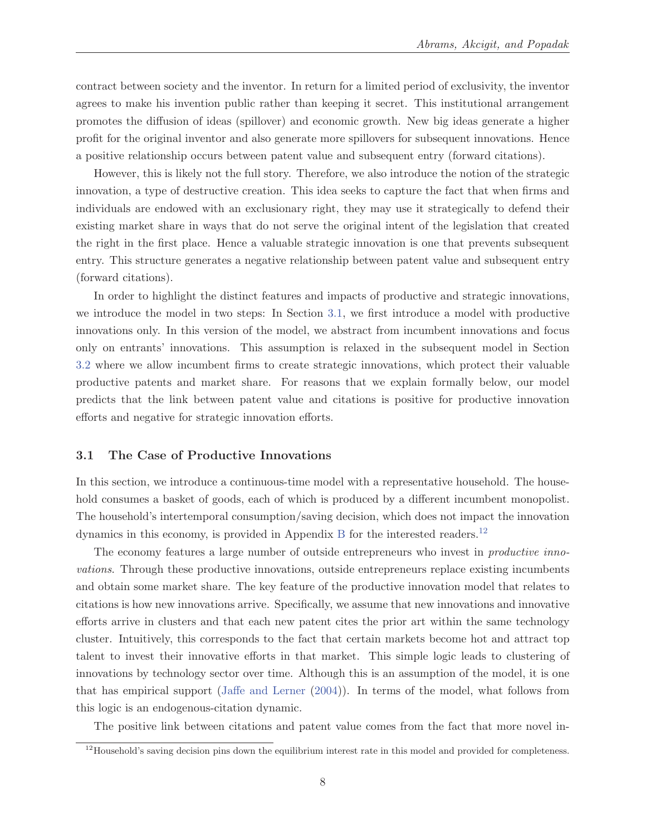contract between society and the inventor. In return for a limited period of exclusivity, the inventor agrees to make his invention public rather than keeping it secret. This institutional arrangement promotes the diffusion of ideas (spillover) and economic growth. New big ideas generate a higher profit for the original inventor and also generate more spillovers for subsequent innovations. Hence a positive relationship occurs between patent value and subsequent entry (forward citations).

However, this is likely not the full story. Therefore, we also introduce the notion of the strategic innovation, a type of destructive creation. This idea seeks to capture the fact that when firms and individuals are endowed with an exclusionary right, they may use it strategically to defend their existing market share in ways that do not serve the original intent of the legislation that created the right in the first place. Hence a valuable strategic innovation is one that prevents subsequent entry. This structure generates a negative relationship between patent value and subsequent entry (forward citations).

In order to highlight the distinct features and impacts of productive and strategic innovations, we introduce the model in two steps: In Section 3.1, we first introduce a model with productive innovations only. In this version of the model, we abstract from incumbent innovations and focus only on entrants' innovations. This assumption is relaxed in the subsequent model in Section 3.2 where we allow incumbent firms to create strategic innovations, which protect their valuable productive patents and market share. For reasons that we explain formally below, our model predicts that the link between patent value and citations is positive for productive innovation efforts and negative for strategic innovation efforts.

### **3.1 The Case of Productive Innovations**

In this section, we introduce a continuous-time model with a representative household. The household consumes a basket of goods, each of which is produced by a different incumbent monopolist. The household's intertemporal consumption/saving decision, which does not impact the innovation dynamics in this economy, is provided in Appendix B for the interested readers.<sup>12</sup>

The economy features a large number of outside entrepreneurs who invest in *productive inno*vations. Through these productive innovations, outside entrepreneurs replace existing incumbents and obtain some market share. The key feature of the productive innovation model that relates to citations is how new innovations arrive. Specifically, we assume that new innovations and innovative efforts arrive in clusters and that each new patent cites the prior art within the same technology cluster. Intuitively, this corresponds to the fact that certain markets become hot and attract top talent to invest their innovative efforts in that market. This simple logic leads to clustering of innovations by technology sector over time. Although this is an assumption of the model, it is one that has empirical support (Jaffe and Lerner (2004)). In terms of the model, what follows from this logic is an endogenous-citation dynamic.

The positive link between citations and patent value comes from the fact that more novel in-

<sup>&</sup>lt;sup>12</sup>Household's saving decision pins down the equilibrium interest rate in this model and provided for completeness.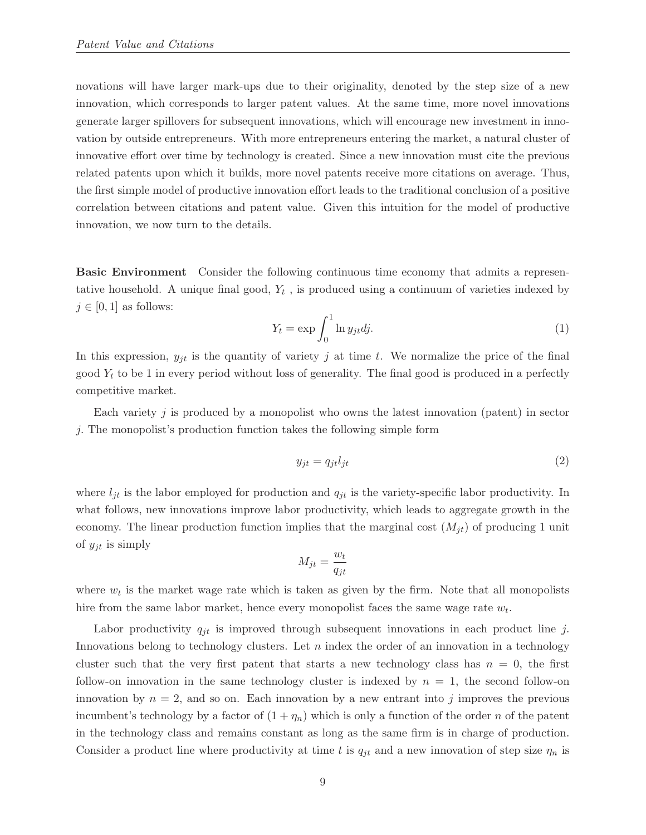novations will have larger mark-ups due to their originality, denoted by the step size of a new innovation, which corresponds to larger patent values. At the same time, more novel innovations generate larger spillovers for subsequent innovations, which will encourage new investment in innovation by outside entrepreneurs. With more entrepreneurs entering the market, a natural cluster of innovative effort over time by technology is created. Since a new innovation must cite the previous related patents upon which it builds, more novel patents receive more citations on average. Thus, the first simple model of productive innovation effort leads to the traditional conclusion of a positive correlation between citations and patent value. Given this intuition for the model of productive innovation, we now turn to the details.

**Basic Environment** Consider the following continuous time economy that admits a representative household. A unique final good,  $Y_t$ , is produced using a continuum of varieties indexed by  $j \in [0, 1]$  as follows:

$$
Y_t = \exp \int_0^1 \ln y_{jt} dy.
$$
 (1)

In this expression,  $y_{jt}$  is the quantity of variety j at time t. We normalize the price of the final good  $Y_t$  to be 1 in every period without loss of generality. The final good is produced in a perfectly competitive market.

Each variety  $j$  is produced by a monopolist who owns the latest innovation (patent) in sector j. The monopolist's production function takes the following simple form

$$
y_{jt} = q_{jt} l_{jt} \tag{2}
$$

where  $l_{jt}$  is the labor employed for production and  $q_{jt}$  is the variety-specific labor productivity. In what follows, new innovations improve labor productivity, which leads to aggregate growth in the economy. The linear production function implies that the marginal cost  $(M_{it})$  of producing 1 unit of  $y_{jt}$  is simply

$$
M_{jt} = \frac{w_t}{q_{jt}}
$$

where  $w_t$  is the market wage rate which is taken as given by the firm. Note that all monopolists hire from the same labor market, hence every monopolist faces the same wage rate  $w_t$ .

Labor productivity  $q_{jt}$  is improved through subsequent innovations in each product line j. Innovations belong to technology clusters. Let  $n$  index the order of an innovation in a technology cluster such that the very first patent that starts a new technology class has  $n = 0$ , the first follow-on innovation in the same technology cluster is indexed by  $n = 1$ , the second follow-on innovation by  $n = 2$ , and so on. Each innovation by a new entrant into j improves the previous incumbent's technology by a factor of  $(1 + \eta_n)$  which is only a function of the order n of the patent in the technology class and remains constant as long as the same firm is in charge of production. Consider a product line where productivity at time t is  $q_{jt}$  and a new innovation of step size  $\eta_n$  is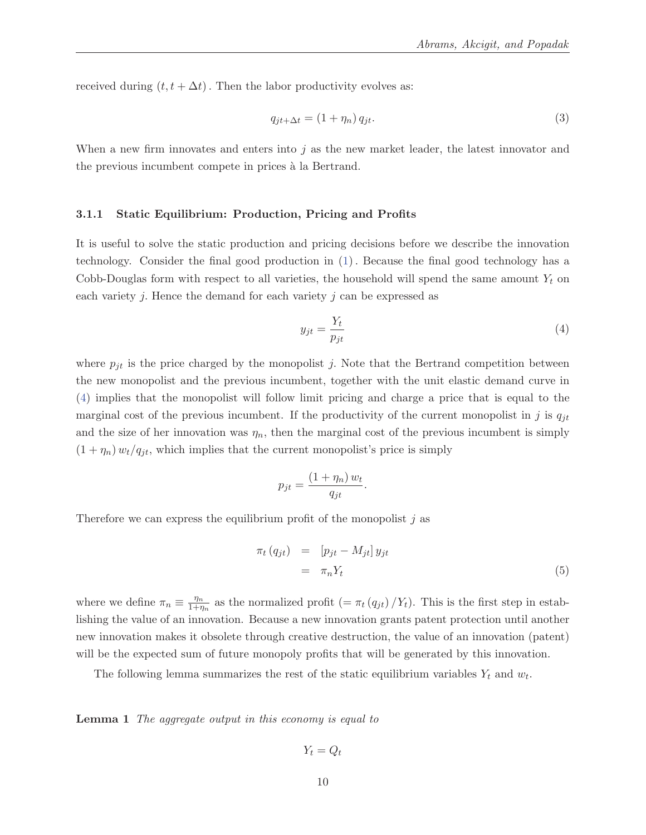received during  $(t, t + \Delta t)$ . Then the labor productivity evolves as:

$$
q_{jt+\Delta t} = (1 + \eta_n) q_{jt}.
$$
\n(3)

When a new firm innovates and enters into  $j$  as the new market leader, the latest innovator and the previous incumbent compete in prices à la Bertrand.

### **3.1.1 Static Equilibrium: Production, Pricing and Profits**

It is useful to solve the static production and pricing decisions before we describe the innovation technology. Consider the final good production in (1). Because the final good technology has a Cobb-Douglas form with respect to all varieties, the household will spend the same amount  $Y_t$  on each variety  $j$ . Hence the demand for each variety  $j$  can be expressed as

$$
y_{jt} = \frac{Y_t}{p_{jt}}\tag{4}
$$

where  $p_{jt}$  is the price charged by the monopolist j. Note that the Bertrand competition between the new monopolist and the previous incumbent, together with the unit elastic demand curve in (4) implies that the monopolist will follow limit pricing and charge a price that is equal to the marginal cost of the previous incumbent. If the productivity of the current monopolist in j is  $q_{jt}$ and the size of her innovation was  $\eta_n$ , then the marginal cost of the previous incumbent is simply  $(1 + \eta_n) w_t / q_{jt}$ , which implies that the current monopolist's price is simply

$$
p_{jt} = \frac{(1 + \eta_n) w_t}{q_{jt}}.
$$

Therefore we can express the equilibrium profit of the monopolist  $j$  as

$$
\pi_t (q_{jt}) = [p_{jt} - M_{jt}] y_{jt}
$$
  

$$
= \pi_n Y_t
$$
 (5)

where we define  $\pi_n \equiv \frac{\eta_n}{1+\eta_n}$  as the normalized profit  $(=\pi_t (q_{jt})/Y_t)$ . This is the first step in establishing the value of an innovation. Because a new innovation grants patent protection until another new innovation makes it obsolete through creative destruction, the value of an innovation (patent) will be the expected sum of future monopoly profits that will be generated by this innovation.

The following lemma summarizes the rest of the static equilibrium variables  $Y_t$  and  $w_t$ .

**Lemma 1** The aggregate output in this economy is equal to

$$
Y_t = Q_t
$$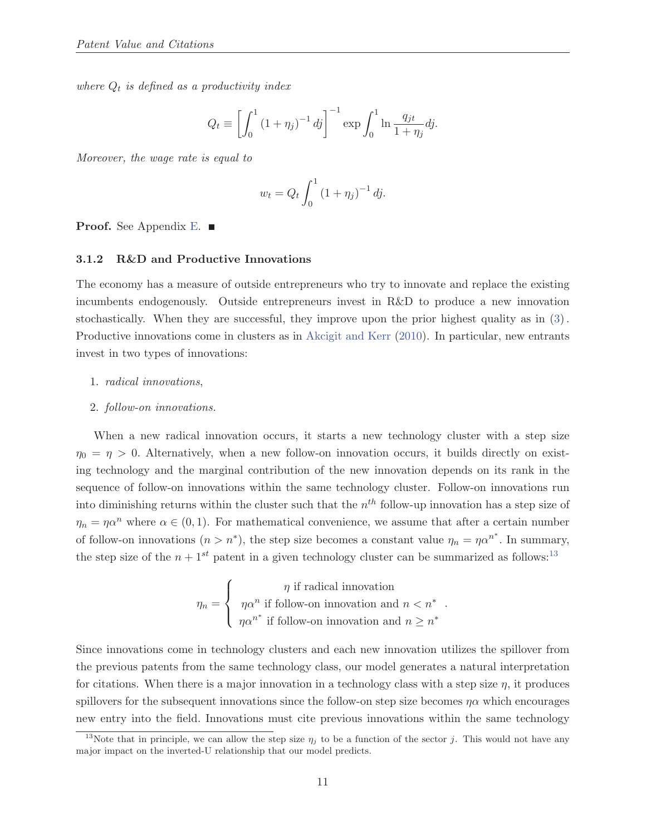where  $Q_t$  is defined as a productivity index

$$
Q_t \equiv \left[ \int_0^1 (1 + \eta_j)^{-1} \, dj \right]^{-1} \exp \int_0^1 \ln \frac{q_{jt}}{1 + \eta_j} dj.
$$

Moreover, the wage rate is equal to

$$
w_t = Q_t \int_0^1 (1 + \eta_j)^{-1} \, dj.
$$

**Proof.** See Appendix **E.** ■

### **3.1.2 R&D and Productive Innovations**

The economy has a measure of outside entrepreneurs who try to innovate and replace the existing incumbents endogenously. Outside entrepreneurs invest in R&D to produce a new innovation stochastically. When they are successful, they improve upon the prior highest quality as in (3). Productive innovations come in clusters as in Akcigit and Kerr (2010). In particular, new entrants invest in two types of innovations:

- 1. radical innovations,
- 2. follow-on innovations.

When a new radical innovation occurs, it starts a new technology cluster with a step size  $\eta_0 = \eta > 0$ . Alternatively, when a new follow-on innovation occurs, it builds directly on existing technology and the marginal contribution of the new innovation depends on its rank in the sequence of follow-on innovations within the same technology cluster. Follow-on innovations run into diminishing returns within the cluster such that the  $n^{th}$  follow-up innovation has a step size of  $\eta_n = \eta \alpha^n$  where  $\alpha \in (0, 1)$ . For mathematical convenience, we assume that after a certain number of follow-on innovations  $(n > n<sup>*</sup>)$ , the step size becomes a constant value  $\eta_n = \eta \alpha^{n^*}$ . In summary, the step size of the  $n + 1^{st}$  patent in a given technology cluster can be summarized as follows:<sup>13</sup>

$$
\eta_n = \begin{cases} \eta \text{ if radical innovation} \\ \eta \alpha^n \text{ if follow-on innovation and } n < n^* \\ \eta \alpha^{n^*} \text{ if follow-on innovation and } n \geq n^* \end{cases}
$$

.

Since innovations come in technology clusters and each new innovation utilizes the spillover from the previous patents from the same technology class, our model generates a natural interpretation for citations. When there is a major innovation in a technology class with a step size  $\eta$ , it produces spillovers for the subsequent innovations since the follow-on step size becomes  $\eta \alpha$  which encourages new entry into the field. Innovations must cite previous innovations within the same technology

<sup>&</sup>lt;sup>13</sup>Note that in principle, we can allow the step size  $\eta_j$  to be a function of the sector j. This would not have any major impact on the inverted-U relationship that our model predicts.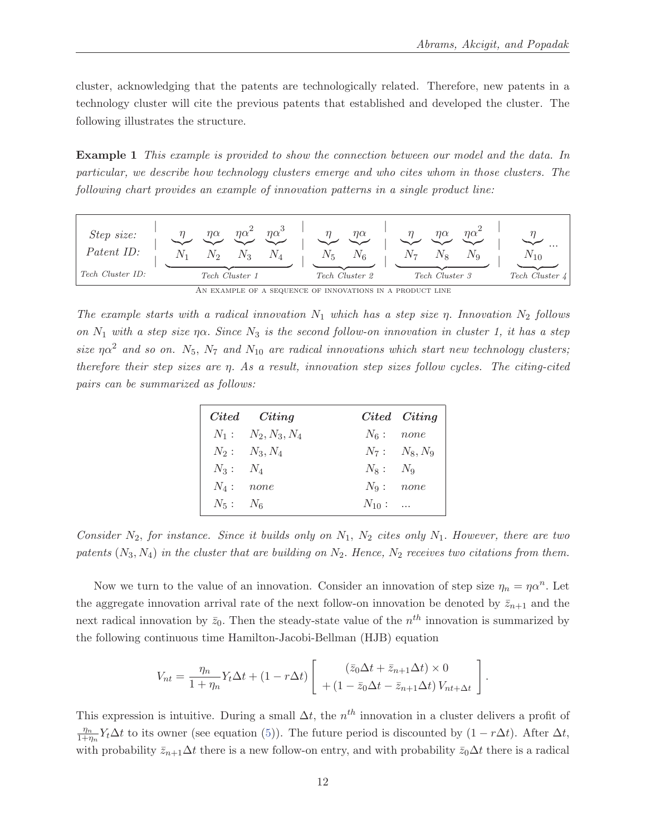cluster, acknowledging that the patents are technologically related. Therefore, new patents in a technology cluster will cite the previous patents that established and developed the cluster. The following illustrates the structure.

**Example 1** This example is provided to show the connection between our model and the data. In particular, we describe how technology clusters emerge and who cites whom in those clusters. The following chart provides an example of innovation patterns in a single product line:

| Step size:<br>Patent ID: | $n\alpha$<br>$n\alpha$                                    | $n\alpha$<br>$N_{\mathbf{G}}$ | nα<br>пα       | $\cdots$<br>V10              |
|--------------------------|-----------------------------------------------------------|-------------------------------|----------------|------------------------------|
| Tech Cluster ID:         | Tech Cluster 1                                            | Tech Cluster 2                | Tech Cluster 3 | $Techn$ Cluster $\downarrow$ |
|                          | AN EXAMPLE OF A SEQUENCE OF INNOVATIONS IN A PRODUCT LINE |                               |                |                              |

The example starts with a radical innovation  $N_1$  which has a step size  $\eta$ . Innovation  $N_2$  follows on  $N_1$  with a step size  $\eta\alpha$ . Since  $N_3$  is the second follow-on innovation in cluster 1, it has a step size  $\eta \alpha^2$  and so on. N<sub>5</sub>, N<sub>7</sub> and N<sub>10</sub> are radical innovations which start new technology clusters; therefore their step sizes are η. As a result, innovation step sizes follow cycles. The citing-cited pairs can be summarized as follows:

|             | Cited Citing         |             | Cited Citing    |
|-------------|----------------------|-------------|-----------------|
|             | $N_1: N_2, N_3, N_4$ | $N_6: none$ |                 |
|             | $N_2: N_3, N_4$      |             | $N_7: N_8, N_9$ |
| $N_3: N_4$  |                      | $N_8: N_9$  |                 |
| $N_4: none$ |                      | $N_9: none$ |                 |
| $N_5: N_6$  |                      | $N_{10}$ :  |                 |

Consider  $N_2$ , for instance. Since it builds only on  $N_1$ ,  $N_2$  cites only  $N_1$ . However, there are two patents  $(N_3, N_4)$  in the cluster that are building on  $N_2$ . Hence,  $N_2$  receives two citations from them.

Now we turn to the value of an innovation. Consider an innovation of step size  $\eta_n = \eta \alpha^n$ . Let the aggregate innovation arrival rate of the next follow-on innovation be denoted by  $\bar{z}_{n+1}$  and the next radical innovation by  $\bar{z}_0$ . Then the steady-state value of the  $n^{th}$  innovation is summarized by the following continuous time Hamilton-Jacobi-Bellman (HJB) equation

$$
V_{nt} = \frac{\eta_n}{1 + \eta_n} Y_t \Delta t + (1 - r\Delta t) \left[ \begin{array}{c} (\bar{z}_0 \Delta t + \bar{z}_{n+1} \Delta t) \times 0 \\ + (1 - \bar{z}_0 \Delta t - \bar{z}_{n+1} \Delta t) V_{nt + \Delta t} \end{array} \right].
$$

This expression is intuitive. During a small  $\Delta t$ , the  $n^{th}$  innovation in a cluster delivers a profit of  $\frac{\eta_n}{1+\eta_n}Y_t\Delta t$  to its owner (see equation (5)). The future period is discounted by  $(1-r\Delta t)$ . After  $\Delta t$ , with probability  $\bar{z}_{n+1}\Delta t$  there is a new follow-on entry, and with probability  $\bar{z}_0\Delta t$  there is a radical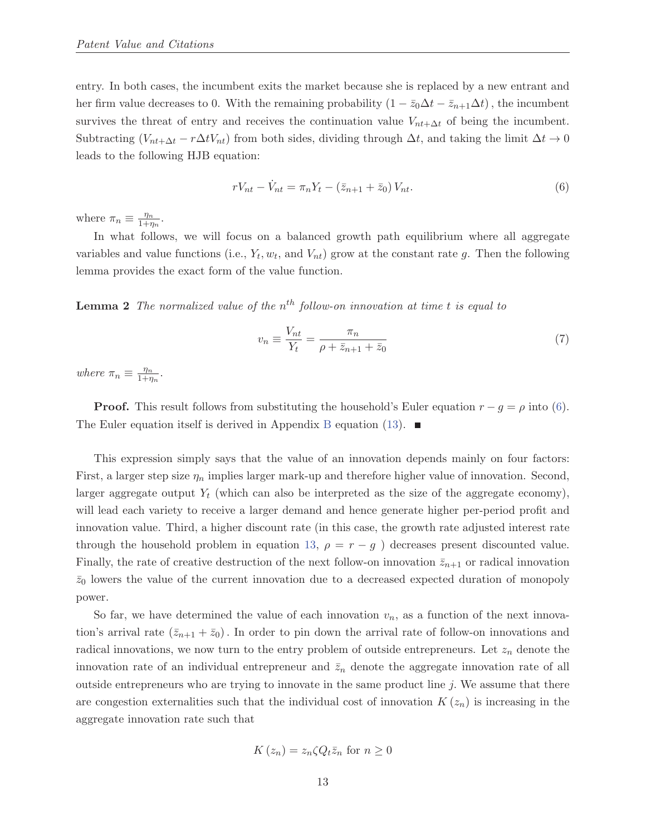entry. In both cases, the incumbent exits the market because she is replaced by a new entrant and her firm value decreases to 0. With the remaining probability  $(1 - \bar{z}_0 \Delta t - \bar{z}_{n+1} \Delta t)$ , the incumbent survives the threat of entry and receives the continuation value  $V_{nt+\Delta t}$  of being the incumbent. Subtracting  $(V_{nt+\Delta t} - r\Delta t V_{nt})$  from both sides, dividing through  $\Delta t$ , and taking the limit  $\Delta t \to 0$ leads to the following HJB equation:

$$
rV_{nt} - \dot{V}_{nt} = \pi_n Y_t - (\bar{z}_{n+1} + \bar{z}_0) V_{nt}.
$$
\n(6)

where  $\pi_n \equiv \frac{\eta_n}{1 + \eta_n}$ .

In what follows, we will focus on a balanced growth path equilibrium where all aggregate variables and value functions (i.e.,  $Y_t$ ,  $w_t$ , and  $V_{nt}$ ) grow at the constant rate g. Then the following lemma provides the exact form of the value function.

**Lemma 2** The normalized value of the  $n^{th}$  follow-on innovation at time t is equal to

$$
v_n \equiv \frac{V_{nt}}{Y_t} = \frac{\pi_n}{\rho + \bar{z}_{n+1} + \bar{z}_0} \tag{7}
$$

where  $\pi_n \equiv \frac{\eta_n}{1 + \eta_n}$ .

**Proof.** This result follows from substituting the household's Euler equation  $r - g = \rho$  into (6). The Euler equation itself is derived in Appendix B equation (13).  $\blacksquare$ 

This expression simply says that the value of an innovation depends mainly on four factors: First, a larger step size  $\eta_n$  implies larger mark-up and therefore higher value of innovation. Second, larger aggregate output  $Y_t$  (which can also be interpreted as the size of the aggregate economy), will lead each variety to receive a larger demand and hence generate higher per-period profit and innovation value. Third, a higher discount rate (in this case, the growth rate adjusted interest rate through the household problem in equation 13,  $\rho = r - g$  ) decreases present discounted value. Finally, the rate of creative destruction of the next follow-on innovation  $\bar{z}_{n+1}$  or radical innovation  $\bar{z}_0$  lowers the value of the current innovation due to a decreased expected duration of monopoly power.

So far, we have determined the value of each innovation  $v_n$ , as a function of the next innovation's arrival rate  $(\bar{z}_{n+1} + \bar{z}_0)$ . In order to pin down the arrival rate of follow-on innovations and radical innovations, we now turn to the entry problem of outside entrepreneurs. Let  $z_n$  denote the innovation rate of an individual entrepreneur and  $\bar{z}_n$  denote the aggregate innovation rate of all outside entrepreneurs who are trying to innovate in the same product line  $j$ . We assume that there are congestion externalities such that the individual cost of innovation  $K(z_n)$  is increasing in the aggregate innovation rate such that

$$
K(z_n) = z_n \zeta Q_t \overline{z}_n \text{ for } n \ge 0
$$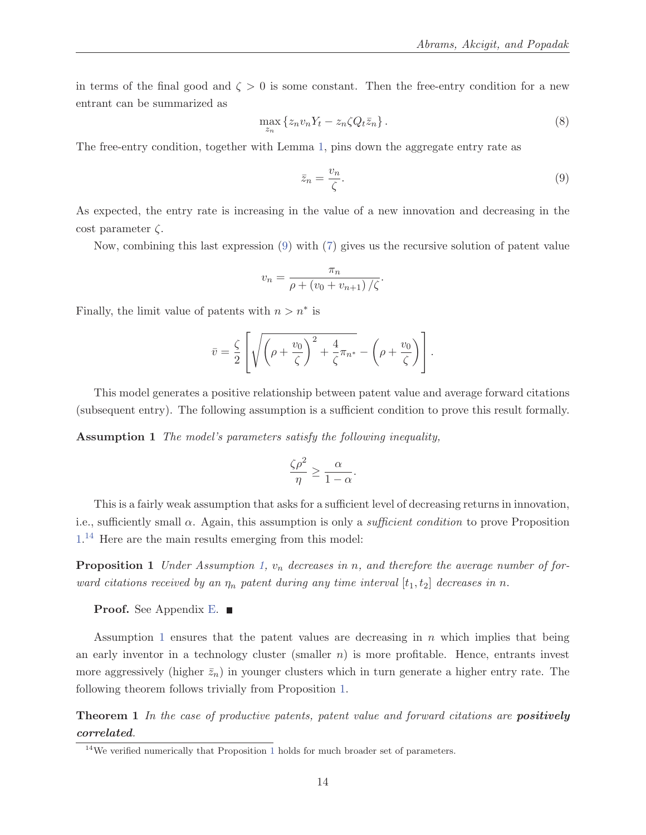in terms of the final good and  $\zeta > 0$  is some constant. Then the free-entry condition for a new entrant can be summarized as

$$
\max_{z_n} \left\{ z_n v_n Y_t - z_n \zeta Q_t \bar{z}_n \right\}.
$$
\n
$$
(8)
$$

The free-entry condition, together with Lemma 1, pins down the aggregate entry rate as

$$
\bar{z}_n = \frac{v_n}{\zeta}.\tag{9}
$$

As expected, the entry rate is increasing in the value of a new innovation and decreasing in the cost parameter ζ.

Now, combining this last expression (9) with (7) gives us the recursive solution of patent value

$$
v_n = \frac{\pi_n}{\rho + (v_0 + v_{n+1})/\zeta}.
$$

Finally, the limit value of patents with  $n>n^*$  is

$$
\bar{v} = \frac{\zeta}{2} \left[ \sqrt{\left( \rho + \frac{v_0}{\zeta} \right)^2 + \frac{4}{\zeta} \pi_{n^*}} - \left( \rho + \frac{v_0}{\zeta} \right) \right].
$$

This model generates a positive relationship between patent value and average forward citations (subsequent entry). The following assumption is a sufficient condition to prove this result formally.

**Assumption 1** The model's parameters satisfy the following inequality,

$$
\frac{\zeta \rho^2}{\eta} \ge \frac{\alpha}{1 - \alpha}.
$$

This is a fairly weak assumption that asks for a sufficient level of decreasing returns in innovation, i.e., sufficiently small  $\alpha$ . Again, this assumption is only a *sufficient condition* to prove Proposition  $1<sup>14</sup>$  Here are the main results emerging from this model:

**Proposition 1** Under Assumption 1,  $v_n$  decreases in n, and therefore the average number of forward citations received by an  $\eta_n$  patent during any time interval  $[t_1, t_2]$  decreases in n.

**Proof.** See Appendix E.

Assumption 1 ensures that the patent values are decreasing in  $n$  which implies that being an early inventor in a technology cluster (smaller  $n$ ) is more profitable. Hence, entrants invest more aggressively (higher  $\bar{z}_n$ ) in younger clusters which in turn generate a higher entry rate. The following theorem follows trivially from Proposition 1.

**Theorem 1** In the case of productive patents, patent value and forward citations are *positively correlated*.

<sup>&</sup>lt;sup>14</sup>We verified numerically that Proposition 1 holds for much broader set of parameters.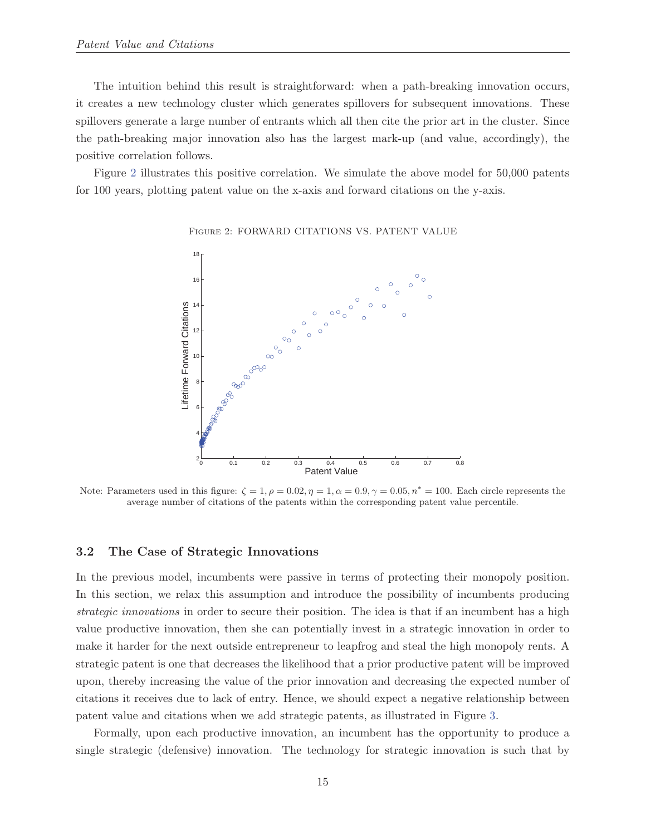The intuition behind this result is straightforward: when a path-breaking innovation occurs, it creates a new technology cluster which generates spillovers for subsequent innovations. These spillovers generate a large number of entrants which all then cite the prior art in the cluster. Since the path-breaking major innovation also has the largest mark-up (and value, accordingly), the positive correlation follows.

Figure 2 illustrates this positive correlation. We simulate the above model for 50,000 patents for 100 years, plotting patent value on the x-axis and forward citations on the y-axis.



Figure 2: FORWARD CITATIONS VS. PATENT VALUE

Note: Parameters used in this figure:  $\zeta = 1, \rho = 0.02, \eta = 1, \alpha = 0.9, \gamma = 0.05, n^* = 100$ . Each circle represents the average number of citations of the patents within the corresponding patent value percentile.

#### **3.2 The Case of Strategic Innovations**

In the previous model, incumbents were passive in terms of protecting their monopoly position. In this section, we relax this assumption and introduce the possibility of incumbents producing strategic innovations in order to secure their position. The idea is that if an incumbent has a high value productive innovation, then she can potentially invest in a strategic innovation in order to make it harder for the next outside entrepreneur to leapfrog and steal the high monopoly rents. A strategic patent is one that decreases the likelihood that a prior productive patent will be improved upon, thereby increasing the value of the prior innovation and decreasing the expected number of citations it receives due to lack of entry. Hence, we should expect a negative relationship between patent value and citations when we add strategic patents, as illustrated in Figure 3.

Formally, upon each productive innovation, an incumbent has the opportunity to produce a single strategic (defensive) innovation. The technology for strategic innovation is such that by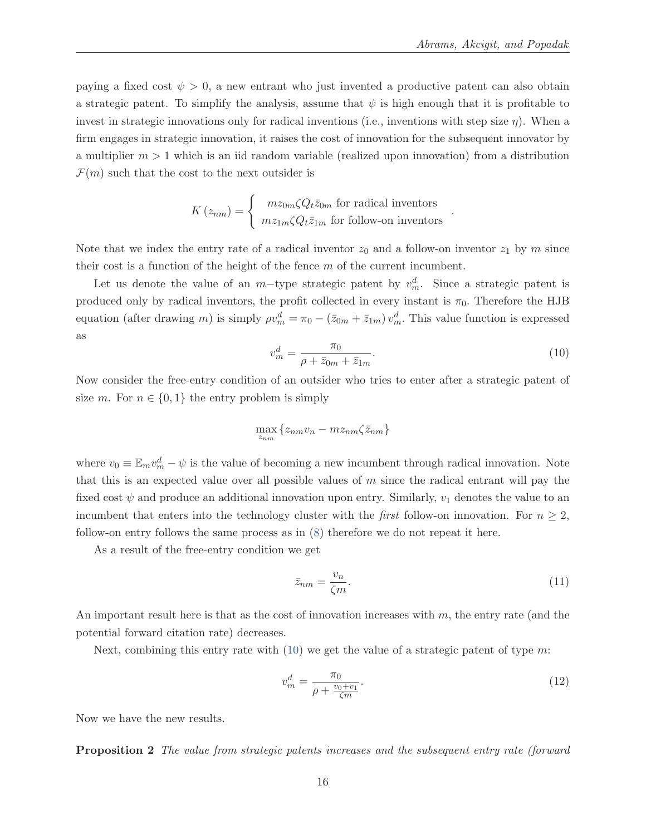paying a fixed cost  $\psi > 0$ , a new entrant who just invented a productive patent can also obtain a strategic patent. To simplify the analysis, assume that  $\psi$  is high enough that it is profitable to invest in strategic innovations only for radical inventions (i.e., inventions with step size  $\eta$ ). When a firm engages in strategic innovation, it raises the cost of innovation for the subsequent innovator by a multiplier  $m > 1$  which is an iid random variable (realized upon innovation) from a distribution  $\mathcal{F}(m)$  such that the cost to the next outsider is

$$
K(z_{nm}) = \begin{cases} mz_{0m}\zeta Q_t\bar{z}_{0m} \text{ for radical inventors} \\ mz_{1m}\zeta Q_t\bar{z}_{1m} \text{ for follow-on inventors} \end{cases}.
$$

Note that we index the entry rate of a radical inventor  $z_0$  and a follow-on inventor  $z_1$  by m since their cost is a function of the height of the fence m of the current incumbent.

Let us denote the value of an m-type strategic patent by  $v_m^d$ . Since a strategic patent is produced only by radical inventors, the profit collected in every instant is  $\pi_0$ . Therefore the HJB equation (after drawing m) is simply  $\rho v_m^d = \pi_0 - (\bar{z}_{0m} + \bar{z}_{1m}) v_m^d$ . This value function is expressed as

$$
v_m^d = \frac{\pi_0}{\rho + \bar{z}_{0m} + \bar{z}_{1m}}.\tag{10}
$$

Now consider the free-entry condition of an outsider who tries to enter after a strategic patent of size m. For  $n \in \{0,1\}$  the entry problem is simply

$$
\max_{z_{nm}} \{z_{nm}v_n - mz_{nm}\zeta\bar{z}_{nm}\}
$$

where  $v_0 \equiv \mathbb{E}_m v_m^d - \psi$  is the value of becoming a new incumbent through radical innovation. Note that this is an expected value over all possible values of  $m$  since the radical entrant will pay the fixed cost  $\psi$  and produce an additional innovation upon entry. Similarly,  $v_1$  denotes the value to an incumbent that enters into the technology cluster with the *first* follow-on innovation. For  $n \geq 2$ , follow-on entry follows the same process as in (8) therefore we do not repeat it here.

As a result of the free-entry condition we get

$$
\bar{z}_{nm} = \frac{v_n}{\zeta m}.\tag{11}
$$

An important result here is that as the cost of innovation increases with  $m$ , the entry rate (and the potential forward citation rate) decreases.

Next, combining this entry rate with  $(10)$  we get the value of a strategic patent of type m:

$$
v_m^d = \frac{\pi_0}{\rho + \frac{v_0 + v_1}{\zeta m}}.\tag{12}
$$

Now we have the new results.

**Proposition 2** The value from strategic patents increases and the subsequent entry rate (forward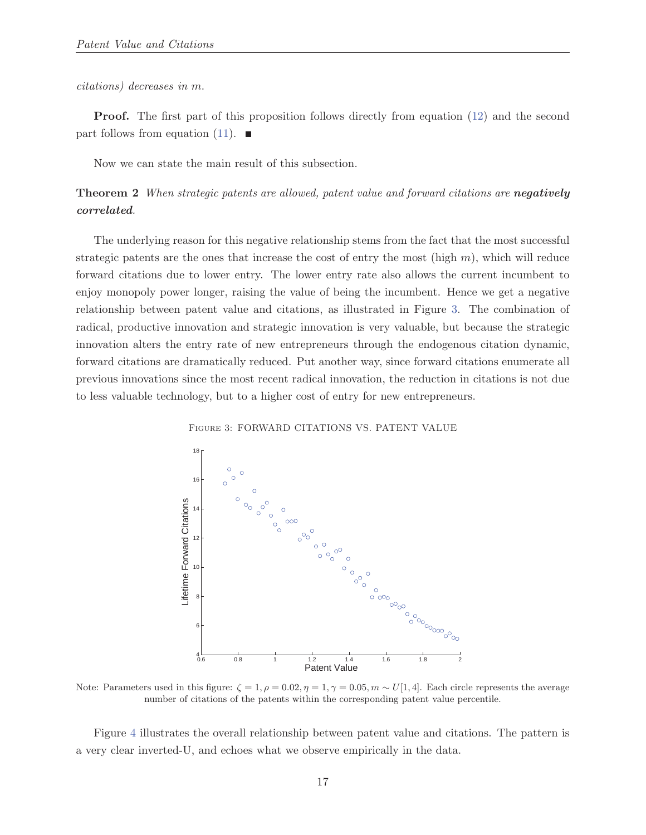citations) decreases in m.

**Proof.** The first part of this proposition follows directly from equation (12) and the second part follows from equation (11).  $\blacksquare$ 

Now we can state the main result of this subsection.

## **Theorem 2** When strategic patents are allowed, patent value and forward citations are *negatively correlated*.

The underlying reason for this negative relationship stems from the fact that the most successful strategic patents are the ones that increase the cost of entry the most (high  $m$ ), which will reduce forward citations due to lower entry. The lower entry rate also allows the current incumbent to enjoy monopoly power longer, raising the value of being the incumbent. Hence we get a negative relationship between patent value and citations, as illustrated in Figure 3. The combination of radical, productive innovation and strategic innovation is very valuable, but because the strategic innovation alters the entry rate of new entrepreneurs through the endogenous citation dynamic, forward citations are dramatically reduced. Put another way, since forward citations enumerate all previous innovations since the most recent radical innovation, the reduction in citations is not due to less valuable technology, but to a higher cost of entry for new entrepreneurs.



Figure 3: FORWARD CITATIONS VS. PATENT VALUE

Note: Parameters used in this figure:  $\zeta = 1, \rho = 0.02, \eta = 1, \gamma = 0.05, m \sim U[1, 4]$ . Each circle represents the average number of citations of the patents within the corresponding patent value percentile.

Figure 4 illustrates the overall relationship between patent value and citations. The pattern is a very clear inverted-U, and echoes what we observe empirically in the data.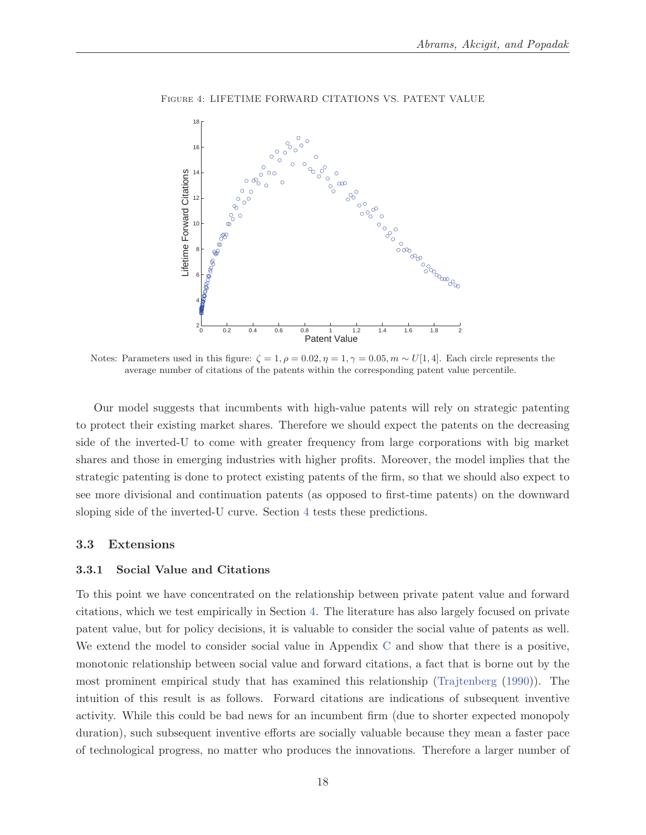



Notes: Parameters used in this figure:  $\zeta = 1$ ,  $\rho = 0.02$ ,  $\eta = 1$ ,  $\gamma = 0.05$ ,  $m \sim U[1, 4]$ . Each circle represents the average number of citations of the patents within the corresponding patent value percentile.

Our model suggests that incumbents with high-value patents will rely on strategic patenting to protect their existing market shares. Therefore we should expect the patents on the decreasing side of the inverted-U to come with greater frequency from large corporations with big market shares and those in emerging industries with higher profits. Moreover, the model implies that the strategic patenting is done to protect existing patents of the firm, so that we should also expect to see more divisional and continuation patents (as opposed to first-time patents) on the downward sloping side of the inverted-U curve. Section 4 tests these predictions.

#### **3.3 Extensions**

### **3.3.1 Social Value and Citations**

To this point we have concentrated on the relationship between private patent value and forward citations, which we test empirically in Section 4. The literature has also largely focused on private patent value, but for policy decisions, it is valuable to consider the social value of patents as well. We extend the model to consider social value in Appendix C and show that there is a positive, monotonic relationship between social value and forward citations, a fact that is borne out by the most prominent empirical study that has examined this relationship (Trajtenberg (1990)). The intuition of this result is as follows. Forward citations are indications of subsequent inventive activity. While this could be bad news for an incumbent firm (due to shorter expected monopoly duration), such subsequent inventive efforts are socially valuable because they mean a faster pace of technological progress, no matter who produces the innovations. Therefore a larger number of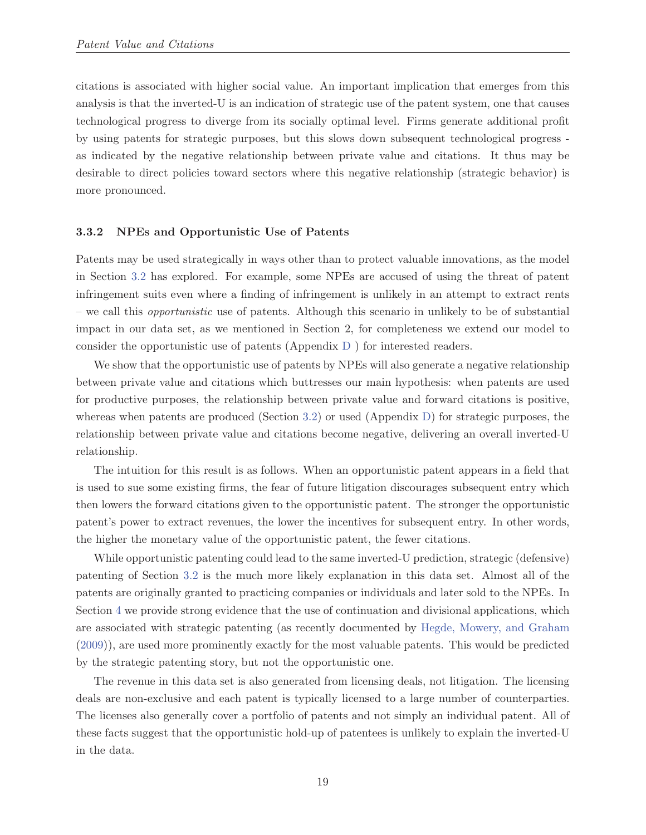citations is associated with higher social value. An important implication that emerges from this analysis is that the inverted-U is an indication of strategic use of the patent system, one that causes technological progress to diverge from its socially optimal level. Firms generate additional profit by using patents for strategic purposes, but this slows down subsequent technological progress as indicated by the negative relationship between private value and citations. It thus may be desirable to direct policies toward sectors where this negative relationship (strategic behavior) is more pronounced.

### **3.3.2 NPEs and Opportunistic Use of Patents**

Patents may be used strategically in ways other than to protect valuable innovations, as the model in Section 3.2 has explored. For example, some NPEs are accused of using the threat of patent infringement suits even where a finding of infringement is unlikely in an attempt to extract rents – we call this opportunistic use of patents. Although this scenario in unlikely to be of substantial impact in our data set, as we mentioned in Section 2, for completeness we extend our model to consider the opportunistic use of patents (Appendix D ) for interested readers.

We show that the opportunistic use of patents by NPEs will also generate a negative relationship between private value and citations which buttresses our main hypothesis: when patents are used for productive purposes, the relationship between private value and forward citations is positive, whereas when patents are produced (Section 3.2) or used (Appendix D) for strategic purposes, the relationship between private value and citations become negative, delivering an overall inverted-U relationship.

The intuition for this result is as follows. When an opportunistic patent appears in a field that is used to sue some existing firms, the fear of future litigation discourages subsequent entry which then lowers the forward citations given to the opportunistic patent. The stronger the opportunistic patent's power to extract revenues, the lower the incentives for subsequent entry. In other words, the higher the monetary value of the opportunistic patent, the fewer citations.

While opportunistic patenting could lead to the same inverted-U prediction, strategic (defensive) patenting of Section 3.2 is the much more likely explanation in this data set. Almost all of the patents are originally granted to practicing companies or individuals and later sold to the NPEs. In Section 4 we provide strong evidence that the use of continuation and divisional applications, which are associated with strategic patenting (as recently documented by Hegde, Mowery, and Graham (2009)), are used more prominently exactly for the most valuable patents. This would be predicted by the strategic patenting story, but not the opportunistic one.

The revenue in this data set is also generated from licensing deals, not litigation. The licensing deals are non-exclusive and each patent is typically licensed to a large number of counterparties. The licenses also generally cover a portfolio of patents and not simply an individual patent. All of these facts suggest that the opportunistic hold-up of patentees is unlikely to explain the inverted-U in the data.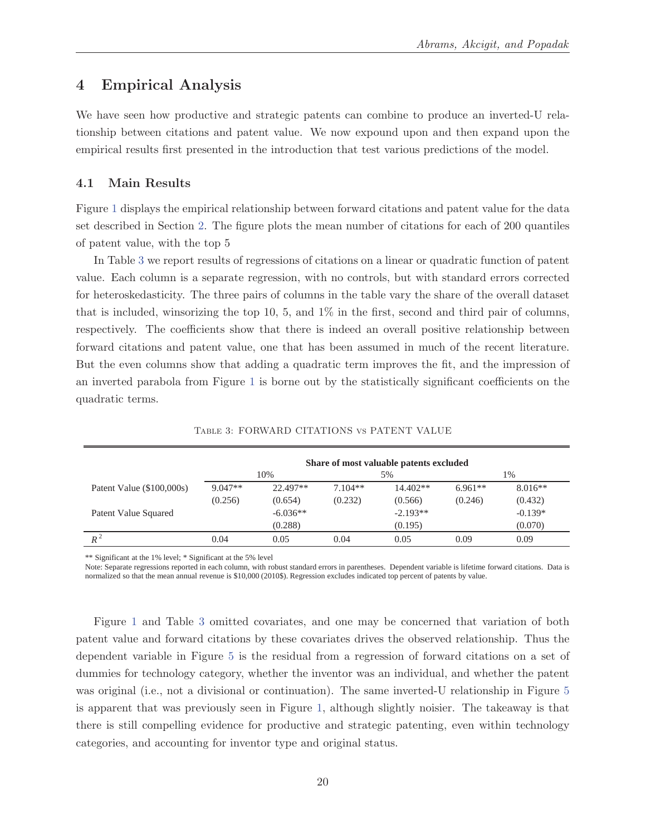## **4 Empirical Analysis**

We have seen how productive and strategic patents can combine to produce an inverted-U relationship between citations and patent value. We now expound upon and then expand upon the empirical results first presented in the introduction that test various predictions of the model.

## **4.1 Main Results**

Figure 1 displays the empirical relationship between forward citations and patent value for the data set described in Section 2. The figure plots the mean number of citations for each of 200 quantiles of patent value, with the top 5

In Table 3 we report results of regressions of citations on a linear or quadratic function of patent value. Each column is a separate regression, with no controls, but with standard errors corrected for heteroskedasticity. The three pairs of columns in the table vary the share of the overall dataset that is included, winsorizing the top 10, 5, and 1% in the first, second and third pair of columns, respectively. The coefficients show that there is indeed an overall positive relationship between forward citations and patent value, one that has been assumed in much of the recent literature. But the even columns show that adding a quadratic term improves the fit, and the impression of an inverted parabola from Figure 1 is borne out by the statistically significant coefficients on the quadratic terms.

|                           | Share of most valuable patents excluded |            |           |            |           |           |
|---------------------------|-----------------------------------------|------------|-----------|------------|-----------|-----------|
|                           |                                         | 10%        |           | 5%         |           | 1%        |
| Patent Value (\$100,000s) | $9.047**$                               | 22.497**   | $7.104**$ | $14.402**$ | $6.961**$ | $8.016**$ |
|                           | (0.256)                                 | (0.654)    | (0.232)   | (0.566)    | (0.246)   | (0.432)   |
| Patent Value Squared      |                                         | $-6.036**$ |           | $-2.193**$ |           | $-0.139*$ |
|                           |                                         | (0.288)    |           | (0.195)    |           | (0.070)   |
| $R^2$                     | 0.04                                    | 0.05       | 0.04      | 0.05       | 0.09      | 0.09      |

Table 3: FORWARD CITATIONS vs PATENT VALUE

\*\* Significant at the 1% level; \* Significant at the 5% level

Note: Separate regressions reported in each column, with robust standard errors in parentheses. Dependent variable is lifetime forward citations. Data is normalized so that the mean annual revenue is \$10,000 (2010\$). Regression excludes indicated top percent of patents by value.

Figure 1 and Table 3 omitted covariates, and one may be concerned that variation of both patent value and forward citations by these covariates drives the observed relationship. Thus the dependent variable in Figure 5 is the residual from a regression of forward citations on a set of dummies for technology category, whether the inventor was an individual, and whether the patent was original (i.e., not a divisional or continuation). The same inverted-U relationship in Figure 5 is apparent that was previously seen in Figure 1, although slightly noisier. The takeaway is that there is still compelling evidence for productive and strategic patenting, even within technology categories, and accounting for inventor type and original status.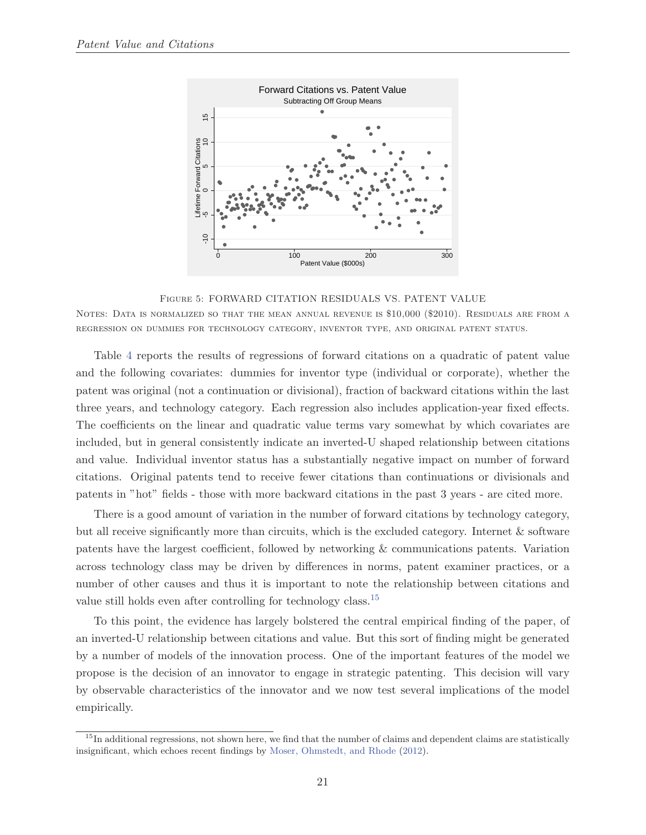

Figure 5: FORWARD CITATION RESIDUALS VS. PATENT VALUE Notes: Data is normalized so that the mean annual revenue is \$10,000 (\$2010). Residuals are from a regression on dummies for technology category, inventor type, and original patent status.

Table 4 reports the results of regressions of forward citations on a quadratic of patent value and the following covariates: dummies for inventor type (individual or corporate), whether the patent was original (not a continuation or divisional), fraction of backward citations within the last three years, and technology category. Each regression also includes application-year fixed effects. The coefficients on the linear and quadratic value terms vary somewhat by which covariates are included, but in general consistently indicate an inverted-U shaped relationship between citations and value. Individual inventor status has a substantially negative impact on number of forward citations. Original patents tend to receive fewer citations than continuations or divisionals and patents in "hot" fields - those with more backward citations in the past 3 years - are cited more.

There is a good amount of variation in the number of forward citations by technology category, but all receive significantly more than circuits, which is the excluded category. Internet & software patents have the largest coefficient, followed by networking & communications patents. Variation across technology class may be driven by differences in norms, patent examiner practices, or a number of other causes and thus it is important to note the relationship between citations and value still holds even after controlling for technology class.<sup>15</sup>

To this point, the evidence has largely bolstered the central empirical finding of the paper, of an inverted-U relationship between citations and value. But this sort of finding might be generated by a number of models of the innovation process. One of the important features of the model we propose is the decision of an innovator to engage in strategic patenting. This decision will vary by observable characteristics of the innovator and we now test several implications of the model empirically.

 $15$ In additional regressions, not shown here, we find that the number of claims and dependent claims are statistically insignificant, which echoes recent findings by Moser, Ohmstedt, and Rhode (2012).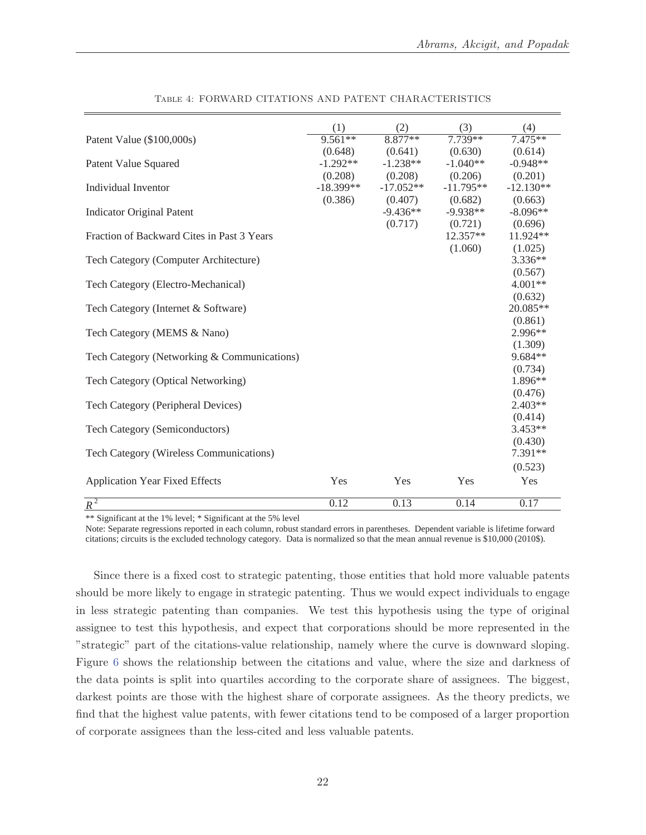|                                                | (1)         | (2)         | (3)         | (4)         |
|------------------------------------------------|-------------|-------------|-------------|-------------|
| Patent Value (\$100,000s)                      | $9.561**$   | $8.877**$   | $7.739**$   | $7.475**$   |
|                                                | (0.648)     | (0.641)     | (0.630)     | (0.614)     |
| Patent Value Squared                           | $-1.292**$  | $-1.238**$  | $-1.040**$  | $-0.948**$  |
|                                                | (0.208)     | (0.208)     | (0.206)     | (0.201)     |
| Individual Inventor                            | $-18.399**$ | $-17.052**$ | $-11.795**$ | $-12.130**$ |
|                                                | (0.386)     | (0.407)     | (0.682)     | (0.663)     |
| <b>Indicator Original Patent</b>               |             | $-9.436**$  | $-9.938**$  | $-8.096**$  |
|                                                |             | (0.717)     | (0.721)     | (0.696)     |
| Fraction of Backward Cites in Past 3 Years     |             |             | 12.357**    | 11.924 **   |
|                                                |             |             | (1.060)     | (1.025)     |
| <b>Tech Category (Computer Architecture)</b>   |             |             |             | 3.336**     |
|                                                |             |             |             | (0.567)     |
| Tech Category (Electro-Mechanical)             |             |             |             | $4.001**$   |
|                                                |             |             |             | (0.632)     |
| Tech Category (Internet & Software)            |             |             |             | 20.085**    |
|                                                |             |             |             | (0.861)     |
| Tech Category (MEMS & Nano)                    |             |             |             | 2.996**     |
|                                                |             |             |             | (1.309)     |
| Tech Category (Networking & Communications)    |             |             |             | 9.684**     |
|                                                |             |             |             | (0.734)     |
| Tech Category (Optical Networking)             |             |             |             | 1.896**     |
|                                                |             |             |             | (0.476)     |
| <b>Tech Category (Peripheral Devices)</b>      |             |             |             | 2.403**     |
|                                                |             |             |             | (0.414)     |
| <b>Tech Category (Semiconductors)</b>          |             |             |             | $3.453**$   |
|                                                |             |             |             | (0.430)     |
| <b>Tech Category (Wireless Communications)</b> |             |             |             | 7.391**     |
|                                                |             |             |             | (0.523)     |
| <b>Application Year Fixed Effects</b>          | Yes         | Yes         | Yes         | Yes         |
|                                                |             |             |             |             |
| $R^2$                                          | 0.12        | 0.13        | 0.14        | 0.17        |

Table 4: FORWARD CITATIONS AND PATENT CHARACTERISTICS

\*\* Significant at the 1% level; \* Significant at the 5% level

Note: Separate regressions reported in each column, robust standard errors in parentheses. Dependent variable is lifetime forward citations; circuits is the excluded technology category. Data is normalized so that the mean annual revenue is \$10,000 (2010\$).

Since there is a fixed cost to strategic patenting, those entities that hold more valuable patents should be more likely to engage in strategic patenting. Thus we would expect individuals to engage in less strategic patenting than companies. We test this hypothesis using the type of original assignee to test this hypothesis, and expect that corporations should be more represented in the "strategic" part of the citations-value relationship, namely where the curve is downward sloping. Figure 6 shows the relationship between the citations and value, where the size and darkness of the data points is split into quartiles according to the corporate share of assignees. The biggest, darkest points are those with the highest share of corporate assignees. As the theory predicts, we find that the highest value patents, with fewer citations tend to be composed of a larger proportion of corporate assignees than the less-cited and less valuable patents.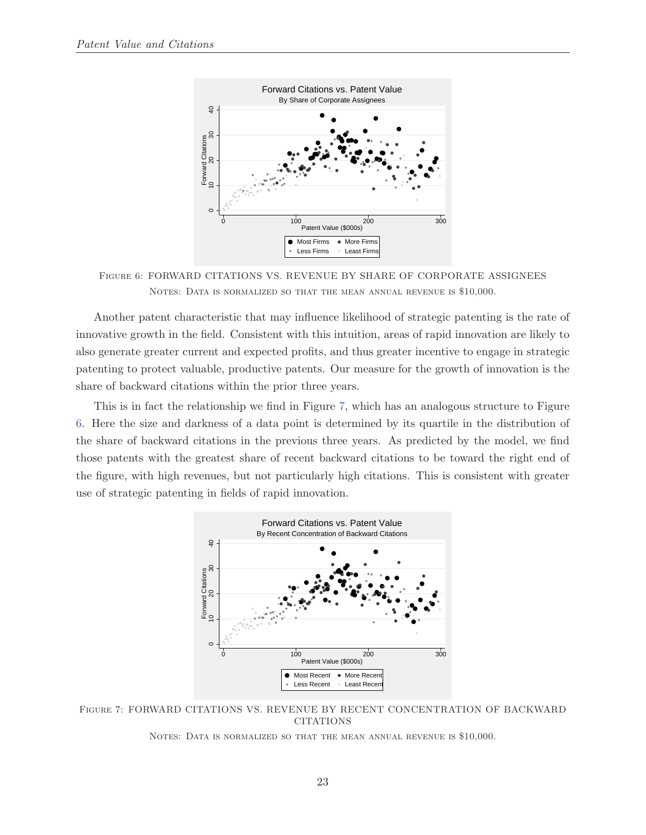

Figure 6: FORWARD CITATIONS VS. REVENUE BY SHARE OF CORPORATE ASSIGNEES Notes: Data is normalized so that the mean annual revenue is \$10,000.

Another patent characteristic that may influence likelihood of strategic patenting is the rate of innovative growth in the field. Consistent with this intuition, areas of rapid innovation are likely to also generate greater current and expected profits, and thus greater incentive to engage in strategic patenting to protect valuable, productive patents. Our measure for the growth of innovation is the share of backward citations within the prior three years.

This is in fact the relationship we find in Figure 7, which has an analogous structure to Figure 6. Here the size and darkness of a data point is determined by its quartile in the distribution of the share of backward citations in the previous three years. As predicted by the model, we find those patents with the greatest share of recent backward citations to be toward the right end of the figure, with high revenues, but not particularly high citations. This is consistent with greater use of strategic patenting in fields of rapid innovation.



Figure 7: FORWARD CITATIONS VS. REVENUE BY RECENT CONCENTRATION OF BACKWARD CITATIONS

Notes: Data is normalized so that the mean annual revenue is \$10,000.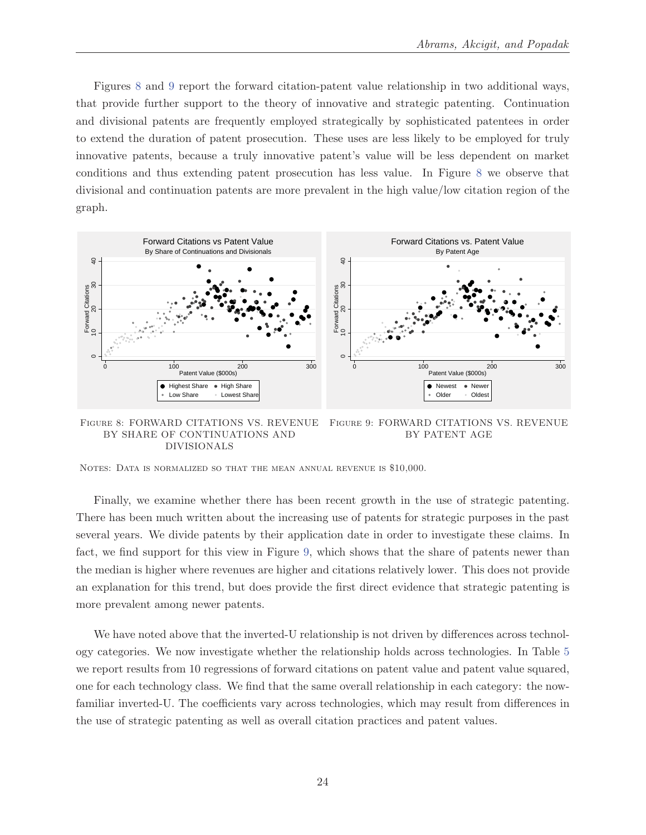Figures 8 and 9 report the forward citation-patent value relationship in two additional ways, that provide further support to the theory of innovative and strategic patenting. Continuation and divisional patents are frequently employed strategically by sophisticated patentees in order to extend the duration of patent prosecution. These uses are less likely to be employed for truly innovative patents, because a truly innovative patent's value will be less dependent on market conditions and thus extending patent prosecution has less value. In Figure 8 we observe that divisional and continuation patents are more prevalent in the high value/low citation region of the graph.



Figure 8: FORWARD CITATIONS VS. REVENUE BY SHARE OF CONTINUATIONS AND DIVISIONALS Figure 9: FORWARD CITATIONS VS. REVENUE BY PATENT AGE

Notes: Data is normalized so that the mean annual revenue is \$10,000.

Finally, we examine whether there has been recent growth in the use of strategic patenting. There has been much written about the increasing use of patents for strategic purposes in the past several years. We divide patents by their application date in order to investigate these claims. In fact, we find support for this view in Figure 9, which shows that the share of patents newer than the median is higher where revenues are higher and citations relatively lower. This does not provide an explanation for this trend, but does provide the first direct evidence that strategic patenting is more prevalent among newer patents.

We have noted above that the inverted-U relationship is not driven by differences across technology categories. We now investigate whether the relationship holds across technologies. In Table 5 we report results from 10 regressions of forward citations on patent value and patent value squared, one for each technology class. We find that the same overall relationship in each category: the nowfamiliar inverted-U. The coefficients vary across technologies, which may result from differences in the use of strategic patenting as well as overall citation practices and patent values.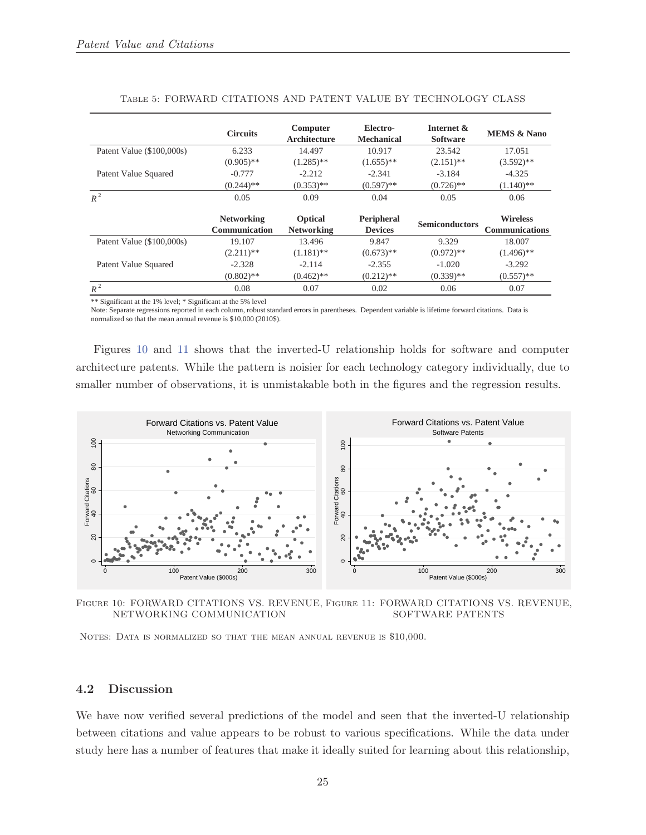|                           | <b>Circuits</b>                           | Computer<br>Architecture     | Electro-<br><b>Mechanical</b> | Internet &<br><b>Software</b> | <b>MEMS &amp; Nano</b>                   |
|---------------------------|-------------------------------------------|------------------------------|-------------------------------|-------------------------------|------------------------------------------|
| Patent Value (\$100,000s) | 6.233                                     | 14.497                       | 10.917                        | 23.542                        | 17.051                                   |
|                           | $(0.905)$ **                              | $(1.285)$ **                 | $(1.655)$ **                  | $(2.151)$ **                  | $(3.592)$ **                             |
| Patent Value Squared      | $-0.777$                                  | $-2.212$                     | $-2.341$                      | $-3.184$                      | $-4.325$                                 |
|                           | $(0.244)$ **                              | $(0.353)$ **                 | $(0.597)$ **                  | $(0.726)$ **                  | $(1.140)$ **                             |
| $R^2$                     | 0.05                                      | 0.09                         | 0.04                          | 0.05                          | 0.06                                     |
|                           | <b>Networking</b><br><b>Communication</b> | Optical<br><b>Networking</b> | Peripheral<br><b>Devices</b>  | <b>Semiconductors</b>         | <b>Wireless</b><br><b>Communications</b> |
| Patent Value (\$100,000s) | 19.107                                    | 13.496                       | 9.847                         | 9.329                         | 18.007                                   |
|                           | $(2.211)$ **                              | $(1.181)$ **                 | $(0.673)$ **                  | $(0.972)$ **                  | $(1.496)$ **                             |
| Patent Value Squared      | $-2.328$                                  | $-2.114$                     | $-2.355$                      | $-1.020$                      | $-3.292$                                 |
|                           | $(0.802)$ **                              | $(0.462)$ **                 | $(0.212)$ **                  | $(0.339)$ **                  | $(0.557)$ **                             |
| $R^2$                     | 0.08                                      | 0.07                         | 0.02                          | 0.06                          | 0.07                                     |

### Table 5: FORWARD CITATIONS AND PATENT VALUE BY TECHNOLOGY CLASS

\*\* Significant at the 1% level; \* Significant at the 5% level

Note: Separate regressions reported in each column, robust standard errors in parentheses. Dependent variable is lifetime forward citations. Data is normalized so that the mean annual revenue is \$10,000 (2010\$).

Figures 10 and 11 shows that the inverted-U relationship holds for software and computer architecture patents. While the pattern is noisier for each technology category individually, due to smaller number of observations, it is unmistakable both in the figures and the regression results.



Figure 10: FORWARD CITATIONS VS. REVENUE, Figure 11: FORWARD CITATIONS VS. REVENUE, NETWORKING COMMUNICATION SOFTWARE PATENTS

Notes: Data is normalized so that the mean annual revenue is \$10,000.

### **4.2 Discussion**

We have now verified several predictions of the model and seen that the inverted-U relationship between citations and value appears to be robust to various specifications. While the data under study here has a number of features that make it ideally suited for learning about this relationship,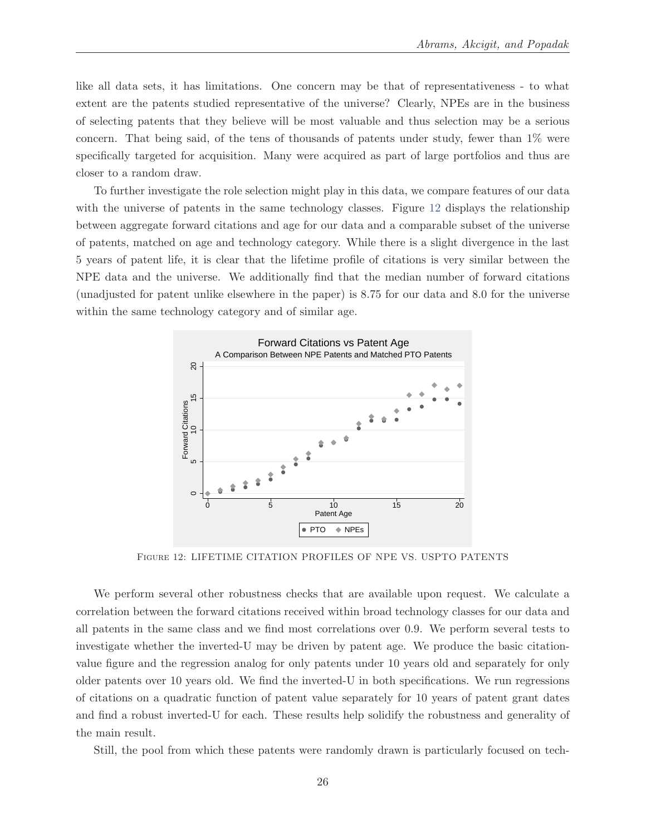like all data sets, it has limitations. One concern may be that of representativeness - to what extent are the patents studied representative of the universe? Clearly, NPEs are in the business of selecting patents that they believe will be most valuable and thus selection may be a serious concern. That being said, of the tens of thousands of patents under study, fewer than 1% were specifically targeted for acquisition. Many were acquired as part of large portfolios and thus are closer to a random draw.

To further investigate the role selection might play in this data, we compare features of our data with the universe of patents in the same technology classes. Figure 12 displays the relationship between aggregate forward citations and age for our data and a comparable subset of the universe of patents, matched on age and technology category. While there is a slight divergence in the last 5 years of patent life, it is clear that the lifetime profile of citations is very similar between the NPE data and the universe. We additionally find that the median number of forward citations (unadjusted for patent unlike elsewhere in the paper) is 8.75 for our data and 8.0 for the universe within the same technology category and of similar age.



Figure 12: LIFETIME CITATION PROFILES OF NPE VS. USPTO PATENTS

We perform several other robustness checks that are available upon request. We calculate a correlation between the forward citations received within broad technology classes for our data and all patents in the same class and we find most correlations over 0.9. We perform several tests to investigate whether the inverted-U may be driven by patent age. We produce the basic citationvalue figure and the regression analog for only patents under 10 years old and separately for only older patents over 10 years old. We find the inverted-U in both specifications. We run regressions of citations on a quadratic function of patent value separately for 10 years of patent grant dates and find a robust inverted-U for each. These results help solidify the robustness and generality of the main result.

Still, the pool from which these patents were randomly drawn is particularly focused on tech-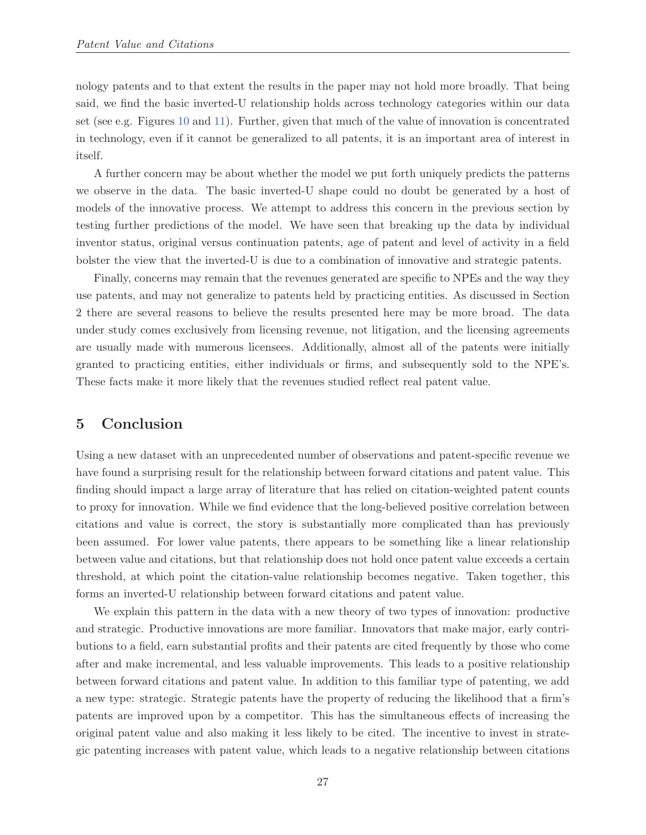nology patents and to that extent the results in the paper may not hold more broadly. That being said, we find the basic inverted-U relationship holds across technology categories within our data set (see e.g. Figures 10 and 11). Further, given that much of the value of innovation is concentrated in technology, even if it cannot be generalized to all patents, it is an important area of interest in itself.

A further concern may be about whether the model we put forth uniquely predicts the patterns we observe in the data. The basic inverted-U shape could no doubt be generated by a host of models of the innovative process. We attempt to address this concern in the previous section by testing further predictions of the model. We have seen that breaking up the data by individual inventor status, original versus continuation patents, age of patent and level of activity in a field bolster the view that the inverted-U is due to a combination of innovative and strategic patents.

Finally, concerns may remain that the revenues generated are specific to NPEs and the way they use patents, and may not generalize to patents held by practicing entities. As discussed in Section 2 there are several reasons to believe the results presented here may be more broad. The data under study comes exclusively from licensing revenue, not litigation, and the licensing agreements are usually made with numerous licensees. Additionally, almost all of the patents were initially granted to practicing entities, either individuals or firms, and subsequently sold to the NPE's. These facts make it more likely that the revenues studied reflect real patent value.

## **5 Conclusion**

Using a new dataset with an unprecedented number of observations and patent-specific revenue we have found a surprising result for the relationship between forward citations and patent value. This finding should impact a large array of literature that has relied on citation-weighted patent counts to proxy for innovation. While we find evidence that the long-believed positive correlation between citations and value is correct, the story is substantially more complicated than has previously been assumed. For lower value patents, there appears to be something like a linear relationship between value and citations, but that relationship does not hold once patent value exceeds a certain threshold, at which point the citation-value relationship becomes negative. Taken together, this forms an inverted-U relationship between forward citations and patent value.

We explain this pattern in the data with a new theory of two types of innovation: productive and strategic. Productive innovations are more familiar. Innovators that make major, early contributions to a field, earn substantial profits and their patents are cited frequently by those who come after and make incremental, and less valuable improvements. This leads to a positive relationship between forward citations and patent value. In addition to this familiar type of patenting, we add a new type: strategic. Strategic patents have the property of reducing the likelihood that a firm's patents are improved upon by a competitor. This has the simultaneous effects of increasing the original patent value and also making it less likely to be cited. The incentive to invest in strategic patenting increases with patent value, which leads to a negative relationship between citations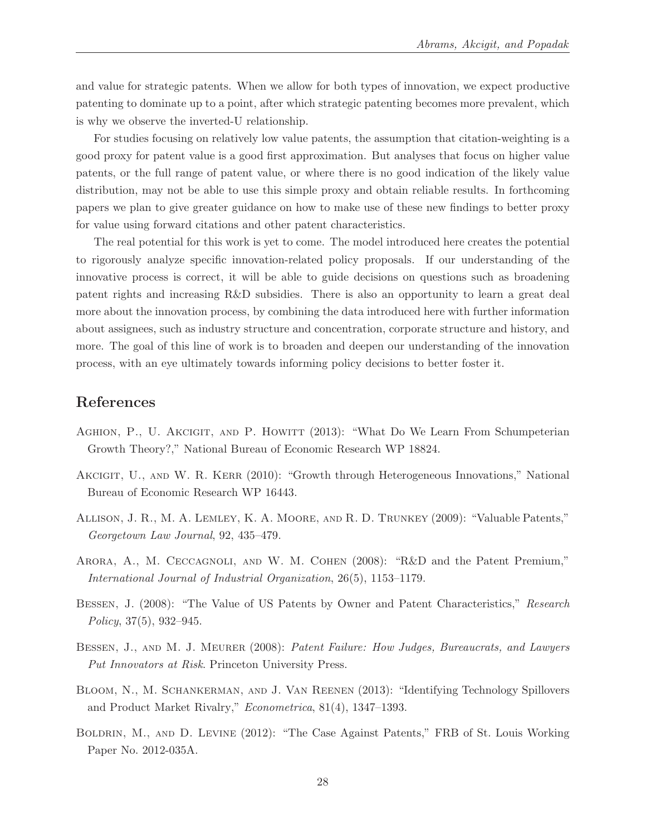and value for strategic patents. When we allow for both types of innovation, we expect productive patenting to dominate up to a point, after which strategic patenting becomes more prevalent, which is why we observe the inverted-U relationship.

For studies focusing on relatively low value patents, the assumption that citation-weighting is a good proxy for patent value is a good first approximation. But analyses that focus on higher value patents, or the full range of patent value, or where there is no good indication of the likely value distribution, may not be able to use this simple proxy and obtain reliable results. In forthcoming papers we plan to give greater guidance on how to make use of these new findings to better proxy for value using forward citations and other patent characteristics.

The real potential for this work is yet to come. The model introduced here creates the potential to rigorously analyze specific innovation-related policy proposals. If our understanding of the innovative process is correct, it will be able to guide decisions on questions such as broadening patent rights and increasing R&D subsidies. There is also an opportunity to learn a great deal more about the innovation process, by combining the data introduced here with further information about assignees, such as industry structure and concentration, corporate structure and history, and more. The goal of this line of work is to broaden and deepen our understanding of the innovation process, with an eye ultimately towards informing policy decisions to better foster it.

## **References**

- AGHION, P., U. AKCIGIT, AND P. HOWITT (2013): "What Do We Learn From Schumpeterian Growth Theory?," National Bureau of Economic Research WP 18824.
- AKCIGIT, U., AND W. R. KERR (2010): "Growth through Heterogeneous Innovations," National Bureau of Economic Research WP 16443.
- Allison, J. R., M. A. Lemley, K. A. Moore, and R. D. Trunkey (2009): "Valuable Patents," Georgetown Law Journal, 92, 435–479.
- Arora, A., M. Ceccagnoli, and W. M. Cohen (2008): "R&D and the Patent Premium," International Journal of Industrial Organization, 26(5), 1153–1179.
- Bessen, J. (2008): "The Value of US Patents by Owner and Patent Characteristics," Research Policy, 37(5), 932–945.
- BESSEN, J., AND M. J. MEURER (2008): Patent Failure: How Judges, Bureaucrats, and Lawyers Put Innovators at Risk. Princeton University Press.
- Bloom, N., M. Schankerman, and J. Van Reenen (2013): "Identifying Technology Spillovers and Product Market Rivalry," Econometrica, 81(4), 1347–1393.
- Boldrin, M., and D. Levine (2012): "The Case Against Patents," FRB of St. Louis Working Paper No. 2012-035A.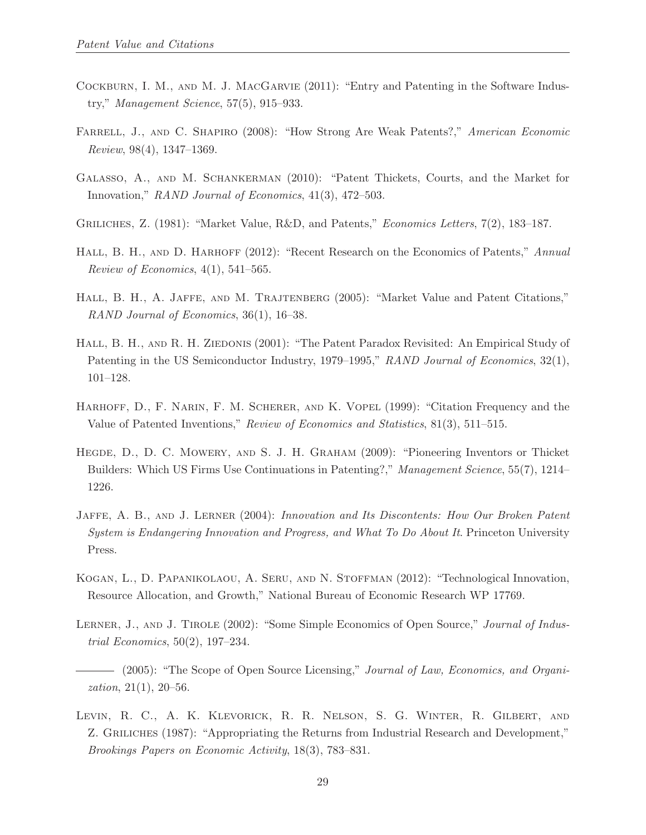- COCKBURN, I. M., AND M. J. MACGARVIE (2011): "Entry and Patenting in the Software Industry," Management Science, 57(5), 915–933.
- FARRELL, J., AND C. SHAPIRO (2008): "How Strong Are Weak Patents?," American Economic Review, 98(4), 1347–1369.
- Galasso, A., and M. Schankerman (2010): "Patent Thickets, Courts, and the Market for Innovation," RAND Journal of Economics, 41(3), 472–503.
- GRILICHES, Z. (1981): "Market Value, R&D, and Patents," *Economics Letters*, 7(2), 183–187.
- HALL, B. H., AND D. HARHOFF (2012): "Recent Research on the Economics of Patents," Annual Review of Economics,  $4(1)$ ,  $541-565$ .
- Hall, B. H., A. Jaffe, and M. Trajtenberg (2005): "Market Value and Patent Citations," RAND Journal of Economics, 36(1), 16–38.
- HALL, B. H., AND R. H. ZIEDONIS (2001): "The Patent Paradox Revisited: An Empirical Study of Patenting in the US Semiconductor Industry, 1979–1995," RAND Journal of Economics, 32(1), 101–128.
- HARHOFF, D., F. NARIN, F. M. SCHERER, AND K. VOPEL (1999): "Citation Frequency and the Value of Patented Inventions," Review of Economics and Statistics, 81(3), 511–515.
- Hegde, D., D. C. Mowery, and S. J. H. Graham (2009): "Pioneering Inventors or Thicket Builders: Which US Firms Use Continuations in Patenting?," Management Science, 55(7), 1214– 1226.
- JAFFE, A. B., AND J. LERNER (2004): Innovation and Its Discontents: How Our Broken Patent System is Endangering Innovation and Progress, and What To Do About It. Princeton University Press.
- Kogan, L., D. Papanikolaou, A. Seru, and N. Stoffman (2012): "Technological Innovation, Resource Allocation, and Growth," National Bureau of Economic Research WP 17769.
- LERNER, J., AND J. TIROLE (2002): "Some Simple Economics of Open Source," Journal of Industrial Economics, 50(2), 197–234.
- (2005): "The Scope of Open Source Licensing," Journal of Law, Economics, and Organization, 21(1), 20–56.
- Levin, R. C., A. K. Klevorick, R. R. Nelson, S. G. Winter, R. Gilbert, and Z. GRILICHES (1987): "Appropriating the Returns from Industrial Research and Development," Brookings Papers on Economic Activity, 18(3), 783–831.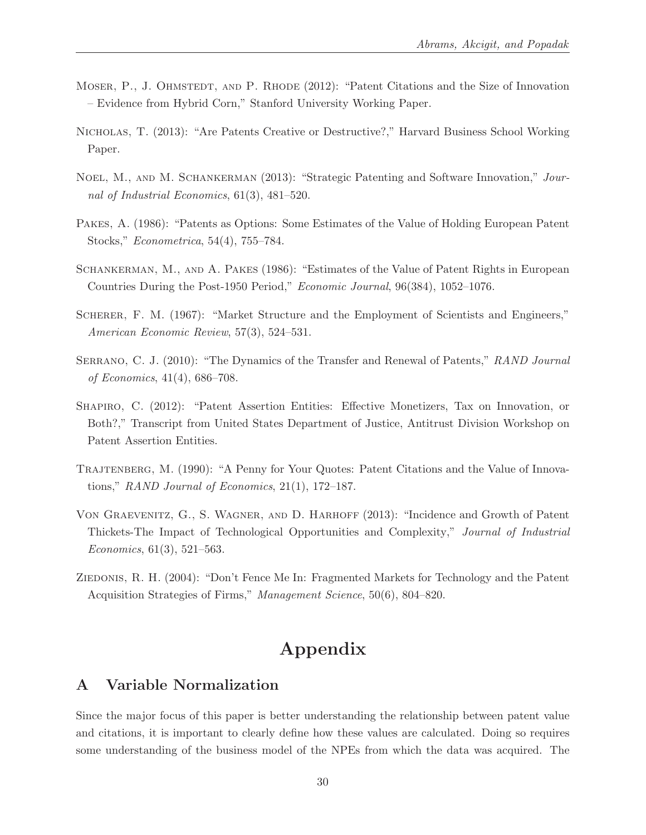- MOSER, P., J. OHMSTEDT, AND P. RHODE (2012): "Patent Citations and the Size of Innovation – Evidence from Hybrid Corn," Stanford University Working Paper.
- Nicholas, T. (2013): "Are Patents Creative or Destructive?," Harvard Business School Working Paper.
- NOEL, M., AND M. SCHANKERMAN (2013): "Strategic Patenting and Software Innovation," Journal of Industrial Economics, 61(3), 481–520.
- Pakes, A. (1986): "Patents as Options: Some Estimates of the Value of Holding European Patent Stocks," Econometrica, 54(4), 755–784.
- Schankerman, M., and A. Pakes (1986): "Estimates of the Value of Patent Rights in European Countries During the Post-1950 Period," Economic Journal, 96(384), 1052–1076.
- SCHERER, F. M. (1967): "Market Structure and the Employment of Scientists and Engineers," American Economic Review, 57(3), 524–531.
- SERRANO, C. J. (2010): "The Dynamics of the Transfer and Renewal of Patents," RAND Journal of Economics, 41(4), 686–708.
- Shapiro, C. (2012): "Patent Assertion Entities: Effective Monetizers, Tax on Innovation, or Both?," Transcript from United States Department of Justice, Antitrust Division Workshop on Patent Assertion Entities.
- TRAJTENBERG, M. (1990): "A Penny for Your Quotes: Patent Citations and the Value of Innovations," RAND Journal of Economics,  $21(1)$ , 172–187.
- Von Graevenitz, G., S. Wagner, and D. Harhoff (2013): "Incidence and Growth of Patent Thickets-The Impact of Technological Opportunities and Complexity," Journal of Industrial Economics, 61(3), 521–563.
- ZIEDONIS, R. H. (2004): "Don't Fence Me In: Fragmented Markets for Technology and the Patent Acquisition Strategies of Firms," Management Science, 50(6), 804–820.

# **Appendix**

## **A Variable Normalization**

Since the major focus of this paper is better understanding the relationship between patent value and citations, it is important to clearly define how these values are calculated. Doing so requires some understanding of the business model of the NPEs from which the data was acquired. The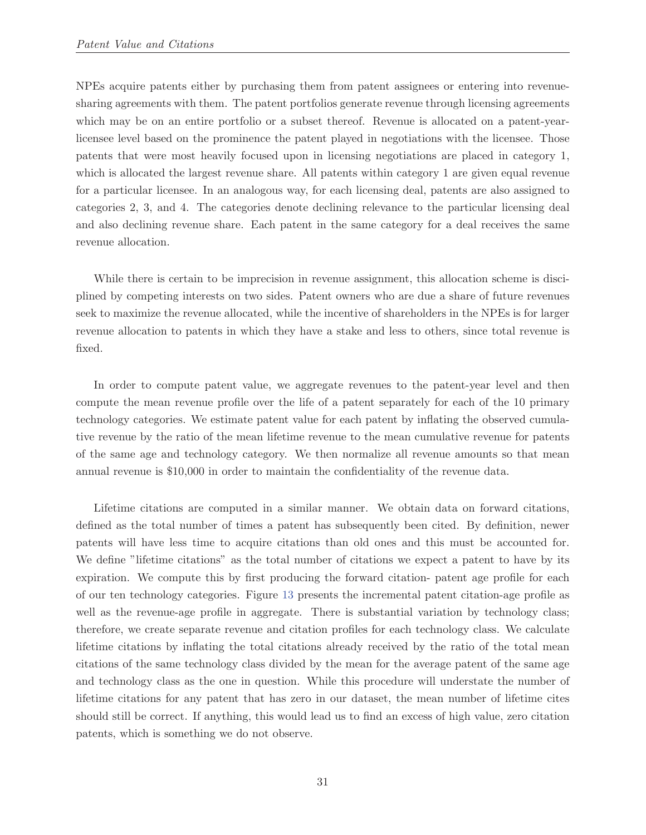NPEs acquire patents either by purchasing them from patent assignees or entering into revenuesharing agreements with them. The patent portfolios generate revenue through licensing agreements which may be on an entire portfolio or a subset thereof. Revenue is allocated on a patent-yearlicensee level based on the prominence the patent played in negotiations with the licensee. Those patents that were most heavily focused upon in licensing negotiations are placed in category 1, which is allocated the largest revenue share. All patents within category 1 are given equal revenue for a particular licensee. In an analogous way, for each licensing deal, patents are also assigned to categories 2, 3, and 4. The categories denote declining relevance to the particular licensing deal and also declining revenue share. Each patent in the same category for a deal receives the same revenue allocation.

While there is certain to be imprecision in revenue assignment, this allocation scheme is disciplined by competing interests on two sides. Patent owners who are due a share of future revenues seek to maximize the revenue allocated, while the incentive of shareholders in the NPEs is for larger revenue allocation to patents in which they have a stake and less to others, since total revenue is fixed.

In order to compute patent value, we aggregate revenues to the patent-year level and then compute the mean revenue profile over the life of a patent separately for each of the 10 primary technology categories. We estimate patent value for each patent by inflating the observed cumulative revenue by the ratio of the mean lifetime revenue to the mean cumulative revenue for patents of the same age and technology category. We then normalize all revenue amounts so that mean annual revenue is \$10,000 in order to maintain the confidentiality of the revenue data.

Lifetime citations are computed in a similar manner. We obtain data on forward citations, defined as the total number of times a patent has subsequently been cited. By definition, newer patents will have less time to acquire citations than old ones and this must be accounted for. We define "lifetime citations" as the total number of citations we expect a patent to have by its expiration. We compute this by first producing the forward citation- patent age profile for each of our ten technology categories. Figure 13 presents the incremental patent citation-age profile as well as the revenue-age profile in aggregate. There is substantial variation by technology class; therefore, we create separate revenue and citation profiles for each technology class. We calculate lifetime citations by inflating the total citations already received by the ratio of the total mean citations of the same technology class divided by the mean for the average patent of the same age and technology class as the one in question. While this procedure will understate the number of lifetime citations for any patent that has zero in our dataset, the mean number of lifetime cites should still be correct. If anything, this would lead us to find an excess of high value, zero citation patents, which is something we do not observe.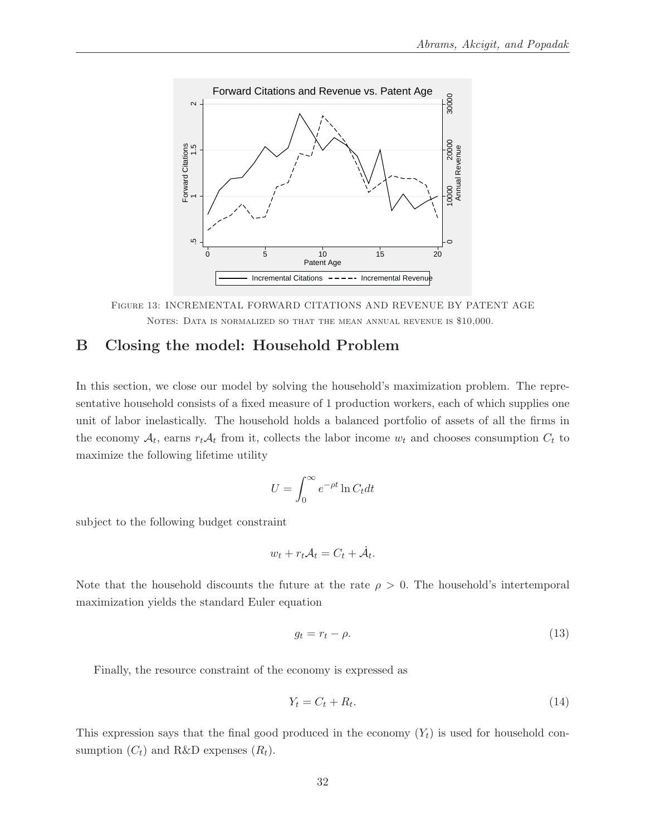

Figure 13: INCREMENTAL FORWARD CITATIONS AND REVENUE BY PATENT AGE Notes: Data is normalized so that the mean annual revenue is \$10,000.

## **B Closing the model: Household Problem**

In this section, we close our model by solving the household's maximization problem. The representative household consists of a fixed measure of 1 production workers, each of which supplies one unit of labor inelastically. The household holds a balanced portfolio of assets of all the firms in the economy  $A_t$ , earns  $r_tA_t$  from it, collects the labor income  $w_t$  and chooses consumption  $C_t$  to maximize the following lifetime utility

$$
U = \int_0^\infty e^{-\rho t} \ln C_t dt
$$

subject to the following budget constraint

$$
w_t + r_t \mathcal{A}_t = C_t + \dot{\mathcal{A}}_t.
$$

Note that the household discounts the future at the rate  $\rho > 0$ . The household's intertemporal maximization yields the standard Euler equation

$$
g_t = r_t - \rho. \tag{13}
$$

Finally, the resource constraint of the economy is expressed as

$$
Y_t = C_t + R_t. \tag{14}
$$

This expression says that the final good produced in the economy  $(Y_t)$  is used for household consumption  $(C_t)$  and R&D expenses  $(R_t)$ .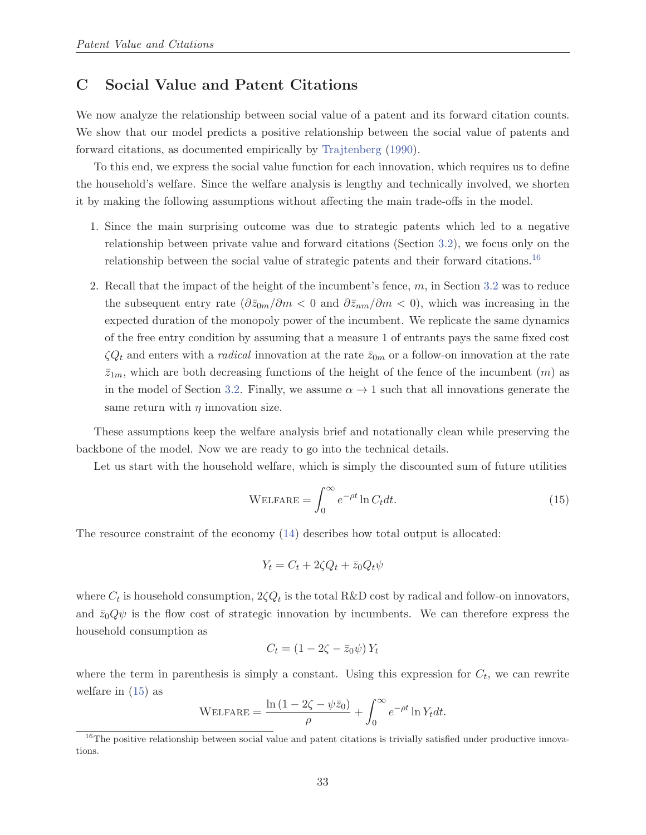## **C Social Value and Patent Citations**

We now analyze the relationship between social value of a patent and its forward citation counts. We show that our model predicts a positive relationship between the social value of patents and forward citations, as documented empirically by Trajtenberg (1990).

To this end, we express the social value function for each innovation, which requires us to define the household's welfare. Since the welfare analysis is lengthy and technically involved, we shorten it by making the following assumptions without affecting the main trade-offs in the model.

- 1. Since the main surprising outcome was due to strategic patents which led to a negative relationship between private value and forward citations (Section 3.2), we focus only on the relationship between the social value of strategic patents and their forward citations.<sup>16</sup>
- 2. Recall that the impact of the height of the incumbent's fence,  $m$ , in Section 3.2 was to reduce the subsequent entry rate  $(\partial \bar{z}_{0m}/\partial m < 0$  and  $\partial \bar{z}_{nm}/\partial m < 0)$ , which was increasing in the expected duration of the monopoly power of the incumbent. We replicate the same dynamics of the free entry condition by assuming that a measure 1 of entrants pays the same fixed cost  $\zeta Q_t$  and enters with a *radical* innovation at the rate  $\bar{z}_{0m}$  or a follow-on innovation at the rate  $\bar{z}_{1m}$ , which are both decreasing functions of the height of the fence of the incumbent  $(m)$  as in the model of Section 3.2. Finally, we assume  $\alpha \to 1$  such that all innovations generate the same return with  $\eta$  innovation size.

These assumptions keep the welfare analysis brief and notationally clean while preserving the backbone of the model. Now we are ready to go into the technical details.

Let us start with the household welfare, which is simply the discounted sum of future utilities

$$
WELFARE = \int_0^\infty e^{-\rho t} \ln C_t dt.
$$
 (15)

The resource constraint of the economy (14) describes how total output is allocated:

$$
Y_t = C_t + 2\zeta Q_t + \bar{z}_0 Q_t \psi
$$

where  $C_t$  is household consumption,  $2\zeta Q_t$  is the total R&D cost by radical and follow-on innovators, and  $\bar{z}_0Q\psi$  is the flow cost of strategic innovation by incumbents. We can therefore express the household consumption as

$$
C_t = (1 - 2\zeta - \bar{z}_0\psi)Y_t
$$

where the term in parenthesis is simply a constant. Using this expression for  $C_t$ , we can rewrite welfare in (15) as

$$
\text{WEIFARE} = \frac{\ln\left(1 - 2\zeta - \psi\bar{z}_0\right)}{\rho} + \int_0^\infty e^{-\rho t} \ln Y_t dt.
$$

 $16$ The positive relationship between social value and patent citations is trivially satisfied under productive innovations.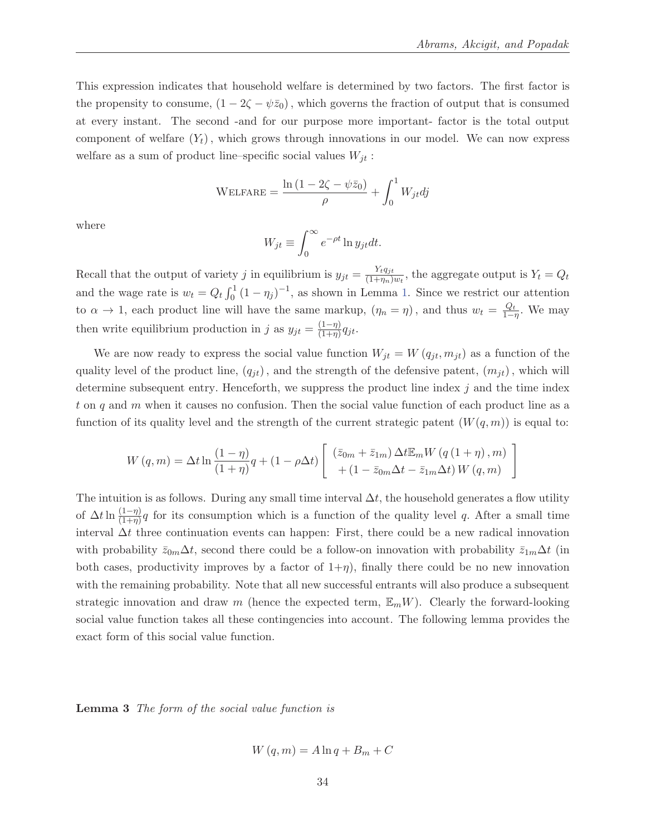This expression indicates that household welfare is determined by two factors. The first factor is the propensity to consume,  $(1 - 2\zeta - \psi \bar{z}_0)$ , which governs the fraction of output that is consumed at every instant. The second -and for our purpose more important- factor is the total output component of welfare  $(Y_t)$ , which grows through innovations in our model. We can now express welfare as a sum of product line–specific social values  $W_{jt}$ :

$$
WELFARE = \frac{\ln(1 - 2\zeta - \psi\bar{z}_0)}{\rho} + \int_0^1 W_{jt}dj
$$

where

$$
W_{jt} \equiv \int_0^\infty e^{-\rho t} \ln y_{jt} dt.
$$

Recall that the output of variety j in equilibrium is  $y_{jt} = \frac{Y_t q_{jt}}{(1+\eta_n)w_t}$ , the aggregate output is  $Y_t = Q_t$ and the wage rate is  $w_t = Q_t \int_0^1 (1 - \eta_j)^{-1}$ , as shown in Lemma 1. Since we restrict our attention to  $\alpha \to 1$ , each product line will have the same markup,  $(\eta_n = \eta)$ , and thus  $w_t = \frac{Q_t}{1-\eta}$ . We may then write equilibrium production in j as  $y_{jt} = \frac{(1-\eta)}{(1+\eta)}q_{jt}$ .

We are now ready to express the social value function  $W_{jt} = W(q_{jt}, m_{jt})$  as a function of the quality level of the product line,  $(q_{it})$ , and the strength of the defensive patent,  $(m_{it})$ , which will determine subsequent entry. Henceforth, we suppress the product line index  $j$  and the time index t on q and  $m$  when it causes no confusion. Then the social value function of each product line as a function of its quality level and the strength of the current strategic patent  $(W(q, m))$  is equal to:

$$
W(q,m) = \Delta t \ln \frac{(1-\eta)}{(1+\eta)} q + (1-\rho \Delta t) \begin{bmatrix} (\bar{z}_{0m} + \bar{z}_{1m}) \Delta t \mathbb{E}_m W (q (1+\eta), m) \\ + (1-\bar{z}_{0m} \Delta t - \bar{z}_{1m} \Delta t) W (q, m) \end{bmatrix}
$$

The intuition is as follows. During any small time interval  $\Delta t$ , the household generates a flow utility of  $\Delta t \ln \frac{(1-\eta)}{(1+\eta)}q$  for its consumption which is a function of the quality level q. After a small time interval  $\Delta t$  three continuation events can happen: First, there could be a new radical innovation with probability  $\bar{z}_{0m}\Delta t$ , second there could be a follow-on innovation with probability  $\bar{z}_{1m}\Delta t$  (in both cases, productivity improves by a factor of  $1+\eta$ ), finally there could be no new innovation with the remaining probability. Note that all new successful entrants will also produce a subsequent strategic innovation and draw m (hence the expected term,  $\mathbb{E}_m W$ ). Clearly the forward-looking social value function takes all these contingencies into account. The following lemma provides the exact form of this social value function.

**Lemma 3** The form of the social value function is

$$
W(q, m) = A \ln q + B_m + C
$$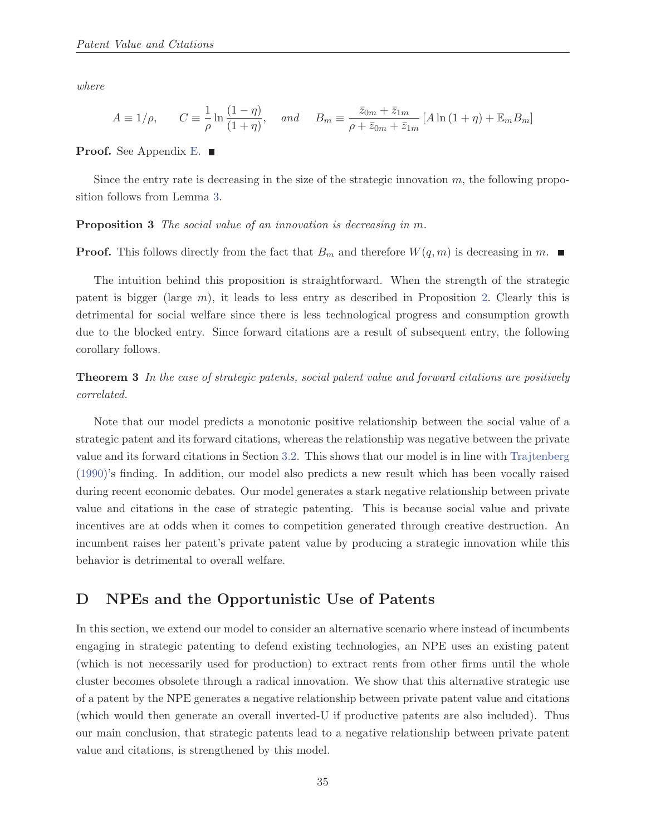where

$$
A \equiv 1/\rho, \qquad C \equiv \frac{1}{\rho} \ln \frac{(1-\eta)}{(1+\eta)}, \quad \text{and} \quad B_m \equiv \frac{\bar{z}_{0m} + \bar{z}_{1m}}{\rho + \bar{z}_{0m} + \bar{z}_{1m}} \left[ A \ln \left( 1 + \eta \right) + \mathbb{E}_m B_m \right]
$$

**Proof.** See Appendix **E**. ■

Since the entry rate is decreasing in the size of the strategic innovation  $m$ , the following proposition follows from Lemma 3.

**Proposition 3** The social value of an innovation is decreasing in m.

**Proof.** This follows directly from the fact that  $B_m$  and therefore  $W(q, m)$  is decreasing in m.

The intuition behind this proposition is straightforward. When the strength of the strategic patent is bigger (large m), it leads to less entry as described in Proposition 2. Clearly this is detrimental for social welfare since there is less technological progress and consumption growth due to the blocked entry. Since forward citations are a result of subsequent entry, the following corollary follows.

**Theorem 3** In the case of strategic patents, social patent value and forward citations are positively correlated.

Note that our model predicts a monotonic positive relationship between the social value of a strategic patent and its forward citations, whereas the relationship was negative between the private value and its forward citations in Section 3.2. This shows that our model is in line with Trajtenberg (1990)'s finding. In addition, our model also predicts a new result which has been vocally raised during recent economic debates. Our model generates a stark negative relationship between private value and citations in the case of strategic patenting. This is because social value and private incentives are at odds when it comes to competition generated through creative destruction. An incumbent raises her patent's private patent value by producing a strategic innovation while this behavior is detrimental to overall welfare.

## **D NPEs and the Opportunistic Use of Patents**

In this section, we extend our model to consider an alternative scenario where instead of incumbents engaging in strategic patenting to defend existing technologies, an NPE uses an existing patent (which is not necessarily used for production) to extract rents from other firms until the whole cluster becomes obsolete through a radical innovation. We show that this alternative strategic use of a patent by the NPE generates a negative relationship between private patent value and citations (which would then generate an overall inverted-U if productive patents are also included). Thus our main conclusion, that strategic patents lead to a negative relationship between private patent value and citations, is strengthened by this model.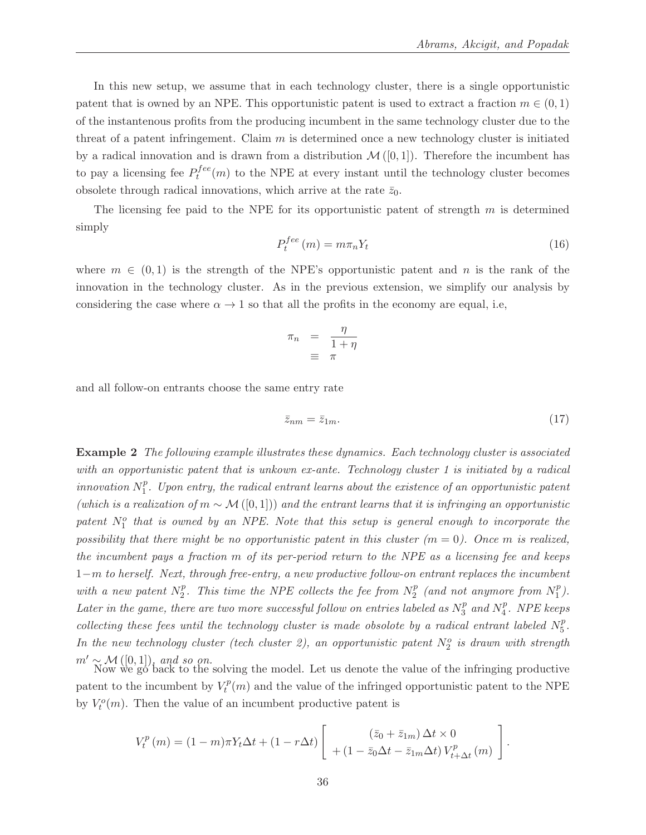In this new setup, we assume that in each technology cluster, there is a single opportunistic patent that is owned by an NPE. This opportunistic patent is used to extract a fraction  $m \in (0,1)$ of the instantenous profits from the producing incumbent in the same technology cluster due to the threat of a patent infringement. Claim  $m$  is determined once a new technology cluster is initiated by a radical innovation and is drawn from a distribution  $\mathcal{M}([0, 1])$ . Therefore the incumbent has to pay a licensing fee  $P_t^{fee}(m)$  to the NPE at every instant until the technology cluster becomes obsolete through radical innovations, which arrive at the rate  $\bar{z}_0$ .

The licensing fee paid to the NPE for its opportunistic patent of strength  $m$  is determined simply

$$
P_t^{fee}(m) = m\pi_n Y_t
$$
\n(16)

where  $m \in (0,1)$  is the strength of the NPE's opportunistic patent and n is the rank of the innovation in the technology cluster. As in the previous extension, we simplify our analysis by considering the case where  $\alpha \to 1$  so that all the profits in the economy are equal, i.e,

$$
\begin{array}{rcl}\n\pi_n & = & \frac{\eta}{1 + \eta} \\
& \equiv & \pi\n\end{array}
$$

and all follow-on entrants choose the same entry rate

$$
\bar{z}_{nm} = \bar{z}_{1m}.\tag{17}
$$

**Example 2** The following example illustrates these dynamics. Each technology cluster is associated with an opportunistic patent that is unkown ex-ante. Technology cluster 1 is initiated by a radical innovation  $N_1^p$ . Upon entry, the radical entrant learns about the existence of an opportunistic patent (which is a realization of  $m \sim \mathcal{M}([0,1])$ ) and the entrant learns that it is infringing an opportunistic patent  $N_1^o$  that is owned by an NPE. Note that this setup is general enough to incorporate the possibility that there might be no opportunistic patent in this cluster  $(m = 0)$ . Once m is realized, the incumbent pays a fraction m of its per-period return to the NPE as a licensing fee and keeps 1−m to herself. Next, through free-entry, a new productive follow-on entrant replaces the incumbent with a new patent  $N_2^p$ . This time the NPE collects the fee from  $N_2^p$  (and not anymore from  $N_1^p$ ). Later in the game, there are two more successful follow on entries labeled as  $N_3^p$  and  $N_4^p$ . NPE keeps collecting these fees until the technology cluster is made obsolote by a radical entrant labeled  $N_5^p$ . In the new technology cluster (tech cluster 2), an opportunistic patent  $N_2^o$  is drawn with strength  $m' \sim M([0, 1])$ , and so on.<br>Now we go back to the solving the model. Let us denote the value of the infringing productive

patent to the incumbent by  $V_t^p(m)$  and the value of the infringed opportunistic patent to the NPE by  $V_t^o(m)$ . Then the value of an incumbent productive patent is

$$
V_t^p(m) = (1 - m)\pi Y_t \Delta t + (1 - r\Delta t) \left[ \begin{array}{c} (\bar{z}_0 + \bar{z}_{1m}) \Delta t \times 0 \\ + (1 - \bar{z}_0 \Delta t - \bar{z}_{1m} \Delta t) V_{t + \Delta t}^p(m) \end{array} \right].
$$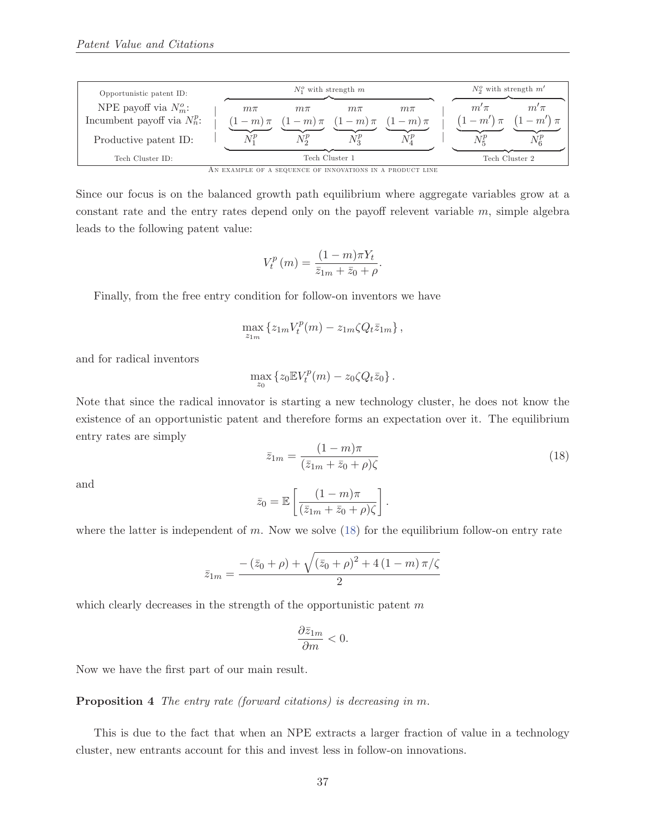| Opportunistic patent ID:                                   | $N_1^o$ with strength m                                                                    | $N_2^o$ with strength $m'$ |
|------------------------------------------------------------|--------------------------------------------------------------------------------------------|----------------------------|
| NPE payoff via $N_m^o$ :<br>Incumbent payoff via $N_n^p$ : | $m\pi$<br>$m\pi$<br>$m\pi$<br>$m\pi$<br>$(1-m)\pi$<br>$-m)\pi$<br>$(1-m)\pi$<br>$1 - m\pi$ | $m' \pi$<br>$(1-m')\pi$    |
| Productive patent ID:                                      |                                                                                            |                            |
| Tech Cluster ID:                                           | Tech Cluster 1                                                                             | Tech Cluster 2             |

AN EXAMPLE OF A SEQUENCE OF INNOVATIONS IN A PRODUCT LINE

Since our focus is on the balanced growth path equilibrium where aggregate variables grow at a constant rate and the entry rates depend only on the payoff relevent variable  $m$ , simple algebra leads to the following patent value:

$$
V_t^p(m) = \frac{(1-m)\pi Y_t}{\bar{z}_{1m} + \bar{z}_0 + \rho}.
$$

Finally, from the free entry condition for follow-on inventors we have

$$
\max_{z_{1m}} \left\{ z_{1m} V_t^p(m) - z_{1m} \zeta Q_t \bar{z}_{1m} \right\},\,
$$

and for radical inventors

$$
\max_{z_0} \left\{ z_0 \mathbb{E} V_t^p(m) - z_0 \zeta Q_t \bar{z}_0 \right\}.
$$

Note that since the radical innovator is starting a new technology cluster, he does not know the existence of an opportunistic patent and therefore forms an expectation over it. The equilibrium entry rates are simply

$$
\bar{z}_{1m} = \frac{(1-m)\pi}{(\bar{z}_{1m} + \bar{z}_0 + \rho)\zeta} \tag{18}
$$

and

$$
\bar{z}_0 = \mathbb{E}\left[\frac{(1-m)\pi}{(\bar{z}_{1m} + \bar{z}_0 + \rho)\zeta}\right].
$$

where the latter is independent of m. Now we solve  $(18)$  for the equilibrium follow-on entry rate

$$
\bar{z}_{1m} = \frac{-\left(\bar{z}_0 + \rho\right) + \sqrt{\left(\bar{z}_0 + \rho\right)^2 + 4\left(1 - m\right)\pi/\zeta}}{2}
$$

which clearly decreases in the strength of the opportunistic patent  $m$ 

$$
\frac{\partial \bar{z}_{1m}}{\partial m} < 0.
$$

Now we have the first part of our main result.

### **Proposition 4** The entry rate (forward citations) is decreasing in m.

This is due to the fact that when an NPE extracts a larger fraction of value in a technology cluster, new entrants account for this and invest less in follow-on innovations.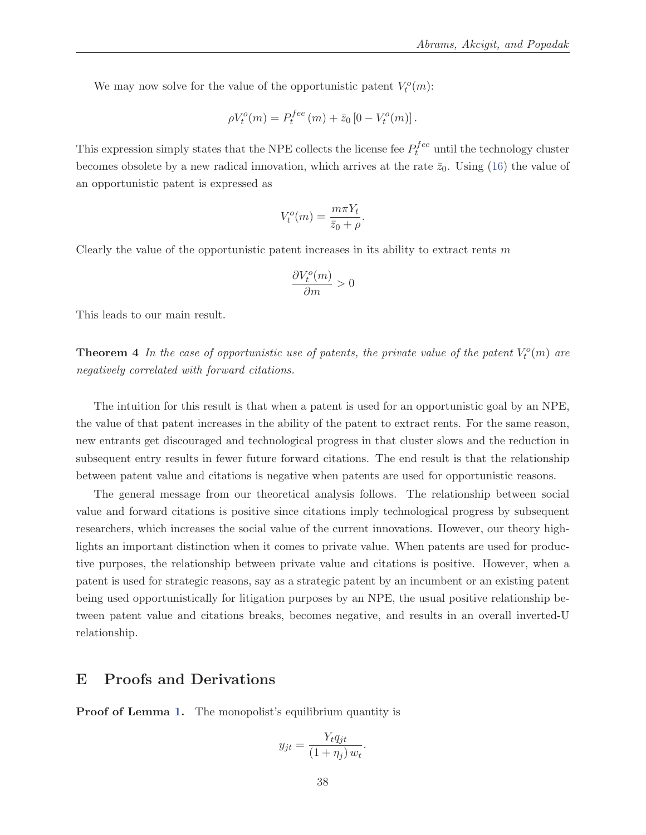We may now solve for the value of the opportunistic patent  $V_t^o(m)$ :

$$
\rho V_t^o(m) = P_t^{fee}(m) + \bar{z}_0 [0 - V_t^o(m)].
$$

This expression simply states that the NPE collects the license fee  $P_t^{fee}$  until the technology cluster becomes obsolete by a new radical innovation, which arrives at the rate  $\bar{z}_0$ . Using (16) the value of an opportunistic patent is expressed as

$$
V_t^o(m) = \frac{m\pi Y_t}{\bar{z}_0 + \rho}.
$$

Clearly the value of the opportunistic patent increases in its ability to extract rents  $m$ 

$$
\frac{\partial V_t^o(m)}{\partial m} > 0
$$

This leads to our main result.

**Theorem 4** In the case of opportunistic use of patents, the private value of the patent  $V_t^o(m)$  are negatively correlated with forward citations.

The intuition for this result is that when a patent is used for an opportunistic goal by an NPE, the value of that patent increases in the ability of the patent to extract rents. For the same reason, new entrants get discouraged and technological progress in that cluster slows and the reduction in subsequent entry results in fewer future forward citations. The end result is that the relationship between patent value and citations is negative when patents are used for opportunistic reasons.

The general message from our theoretical analysis follows. The relationship between social value and forward citations is positive since citations imply technological progress by subsequent researchers, which increases the social value of the current innovations. However, our theory highlights an important distinction when it comes to private value. When patents are used for productive purposes, the relationship between private value and citations is positive. However, when a patent is used for strategic reasons, say as a strategic patent by an incumbent or an existing patent being used opportunistically for litigation purposes by an NPE, the usual positive relationship between patent value and citations breaks, becomes negative, and results in an overall inverted-U relationship.

## **E Proofs and Derivations**

**Proof of Lemma 1.** The monopolist's equilibrium quantity is

$$
y_{jt} = \frac{Y_t q_{jt}}{(1 + \eta_j) w_t}.
$$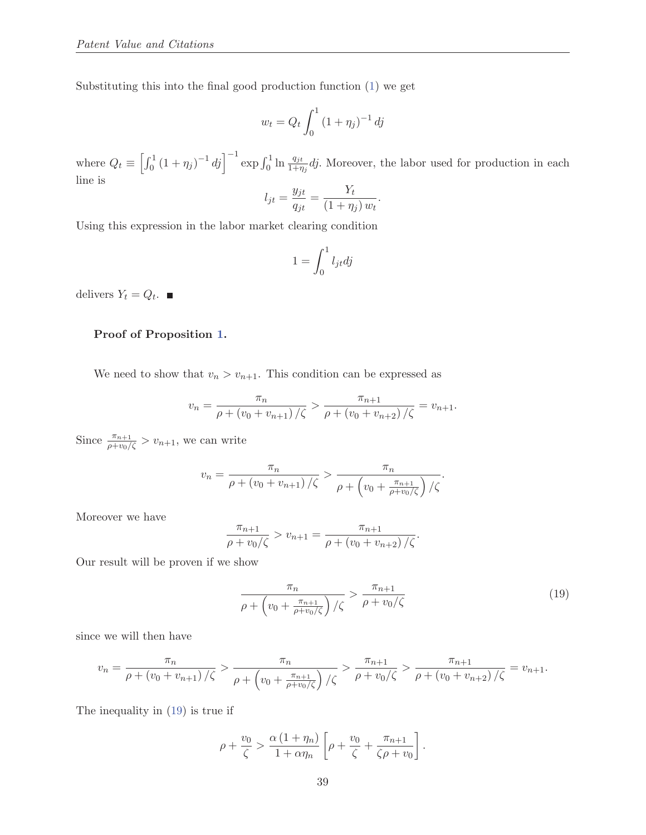Substituting this into the final good production function (1) we get

$$
w_t = Q_t \int_0^1 (1 + \eta_j)^{-1} \, dj
$$

where  $Q_t \equiv \left[\int_0^1 (1 + \eta_j)^{-1} dj \right]^{-1} \exp \int_0^1 \ln \frac{q_{jt}}{1 + \eta_j} dj$ . Moreover, the labor used for production in each line is

$$
l_{jt} = \frac{y_{jt}}{q_{jt}} = \frac{Y_t}{(1 + \eta_j) w_t}.
$$

Using this expression in the labor market clearing condition

$$
1 = \int_0^1 l_{jt} d\!j
$$

delivers  $Y_t = Q_t$ .

### **Proof of Proposition 1.**

We need to show that  $v_n > v_{n+1}$ . This condition can be expressed as

$$
v_n = \frac{\pi_n}{\rho + (v_0 + v_{n+1})/\zeta} > \frac{\pi_{n+1}}{\rho + (v_0 + v_{n+2})/\zeta} = v_{n+1}.
$$

Since  $\frac{\pi_{n+1}}{\rho+v_0/\zeta} > v_{n+1}$ , we can write

$$
v_n = \frac{\pi_n}{\rho + (v_0 + v_{n+1})/\zeta} > \frac{\pi_n}{\rho + \left(v_0 + \frac{\pi_{n+1}}{\rho + v_0/\zeta}\right)/\zeta}.
$$

Moreover we have

$$
\frac{\pi_{n+1}}{\rho + v_0/\zeta} > v_{n+1} = \frac{\pi_{n+1}}{\rho + (v_0 + v_{n+2})/\zeta}.
$$

Our result will be proven if we show

$$
\frac{\pi_n}{\rho + \left(v_0 + \frac{\pi_{n+1}}{\rho + v_0/\zeta}\right)/\zeta} > \frac{\pi_{n+1}}{\rho + v_0/\zeta}
$$
\n(19)

since we will then have

$$
v_n = \frac{\pi_n}{\rho + (v_0 + v_{n+1})/\zeta} > \frac{\pi_n}{\rho + \left(v_0 + \frac{\pi_{n+1}}{\rho + v_0/\zeta}\right)/\zeta} > \frac{\pi_{n+1}}{\rho + v_0/\zeta} > \frac{\pi_{n+1}}{\rho + \left(v_0 + v_{n+2}\right)/\zeta} = v_{n+1}.
$$

The inequality in (19) is true if

$$
\rho + \frac{v_0}{\zeta} > \frac{\alpha (1 + \eta_n)}{1 + \alpha \eta_n} \left[ \rho + \frac{v_0}{\zeta} + \frac{\pi_{n+1}}{\zeta \rho + v_0} \right].
$$